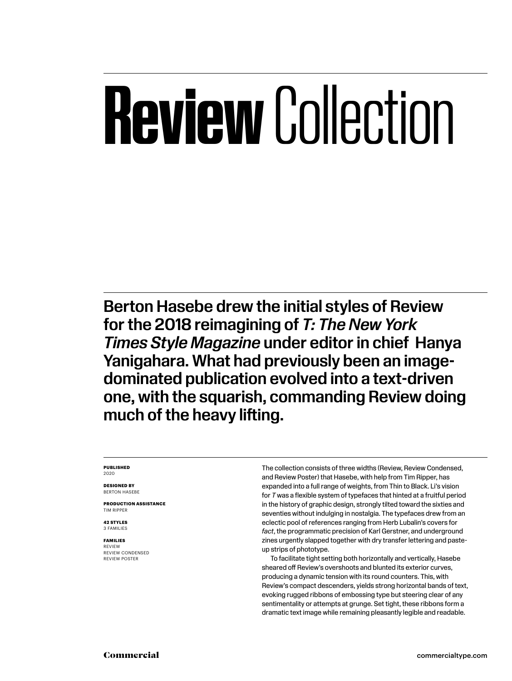# **Review** Collection

Berton Hasebe drew the initial styles of Review for the 2018 reimagining of *T: The New York Times Style Magazine* under editor in chief Hanya Yanigahara. What had previously been an imagedominated publication evolved into a text-driven one, with the squarish, commanding Review doing much of the heavy lifting.

#### **PUBLISHED** 2020

**DESIGNED BY** BERTON HASEBE

**PRODUCTION ASSISTANCE** TIM RIPPER

**42 STYLES** 3 FAMILIES

**FAMILIES** REVIEW REVIEW CONDENSED REVIEW POSTER

The collection consists of three widths (Review, Review Condensed, and Review Poster) that Hasebe, with help from Tim Ripper, has expanded into a full range of weights, from Thin to Black. Li's vision for *T* was a flexible system of typefaces that hinted at a fruitful period in the history of graphic design, strongly tilted toward the sixties and seventies without indulging in nostalgia. The typefaces drew from an eclectic pool of references ranging from Herb Lubalin's covers for *fact*, the programmatic precision of Karl Gerstner, and underground zines urgently slapped together with dry transfer lettering and pasteup strips of phototype.

To facilitate tight setting both horizontally and vertically, Hasebe sheared off Review's overshoots and blunted its exterior curves, producing a dynamic tension with its round counters. This, with Review's compact descenders, yields strong horizontal bands of text, evoking rugged ribbons of embossing type but steering clear of any sentimentality or attempts at grunge. Set tight, these ribbons form a dramatic text image while remaining pleasantly legible and readable.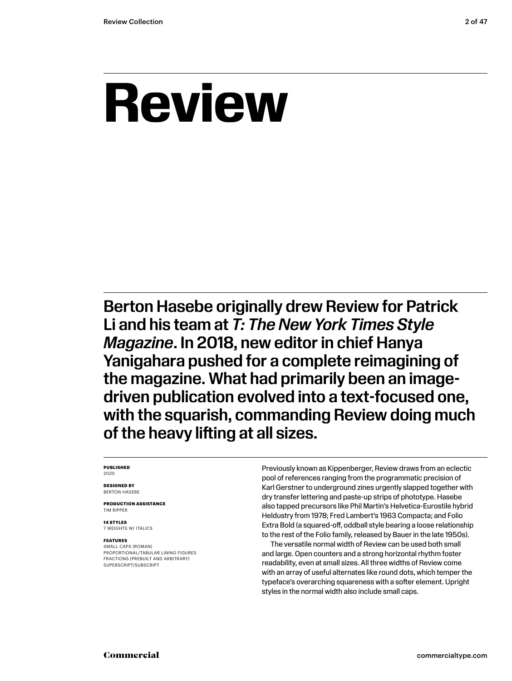## **Review**

Berton Hasebe originally drew Review for Patrick Li and his team at *T: The New York Times Style Magazine*. In 2018, new editor in chief Hanya Yanigahara pushed for a complete reimagining of the magazine. What had primarily been an imagedriven publication evolved into a text-focused one, with the squarish, commanding Review doing much of the heavy lifting at all sizes.

#### **PUBLISHED** 2020

**DESIGNED BY** BERTON HASEBE

**PRODUCTION ASSISTANCE** TIM RIPPER

**14 STYLES** 7 WEIGHTS W/ ITALICS

#### **FEATURES**

SMALL CAPS (ROMAN) PROPORTIONAL/TABULAR LINING FIGURES FRACTIONS (PREBUILT AND ARBITRARY) SUPERSCRIPT/SUBSCRIPT

Previously known as Kippenberger, Review draws from an eclectic pool of references ranging from the programmatic precision of Karl Gerstner to underground zines urgently slapped together with dry transfer lettering and paste-up strips of phototype. Hasebe also tapped precursors like Phil Martin's Helvetica-Eurostile hybrid Heldustry from 1978; Fred Lambert's 1963 Compacta; and Folio Extra Bold (a squared-off, oddball style bearing a loose relationship to the rest of the Folio family, released by Bauer in the late 1950s).

The versatile normal width of Review can be used both small and large. Open counters and a strong horizontal rhythm foster readability, even at small sizes. All three widths of Review come with an array of useful alternates like round dots, which temper the typeface's overarching squareness with a softer element. Upright styles in the normal width also include small caps.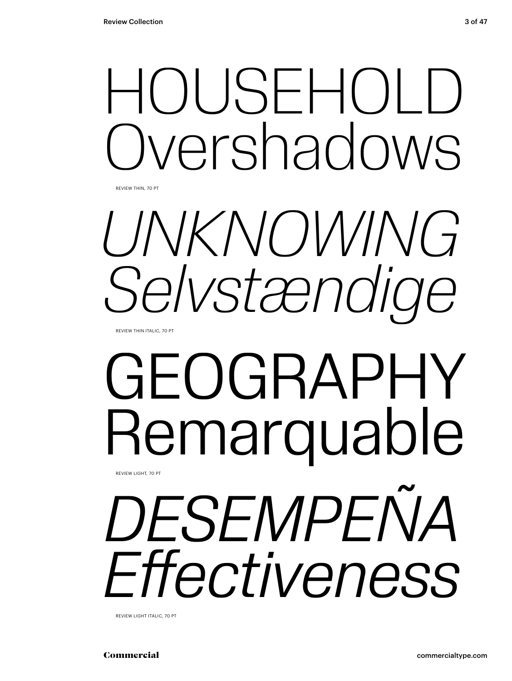## HOUSEHOLD vershadows

REVIEW THIN, 70 PT



REVIEW THIN ITALIC, 70 PT

## GEOGRAPHY Remarquable REVIEW LIGHT, 70 PT

*DESEMPEÑA Effectiveness*

REVIEW LIGHT ITALIC, 70 PT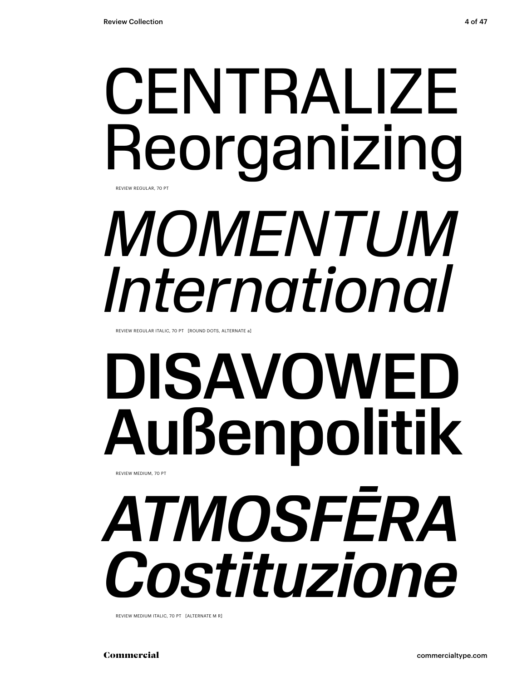## **CENTRALIZE** Reorganizing *MOMENTUM International*  REVIEW REGULAR, 70 PT

REVIEW REGULAR ITALIC, 70 PT [ROUND DOTS, ALTERNATE a]

## DISAVOWED Außenpolitik REVIEW MEDIUM, 70 PT

*ATMOSFĒRA Costituzione*

REVIEW MEDIUM ITALIC, 70 PT [ALTERNATE M R]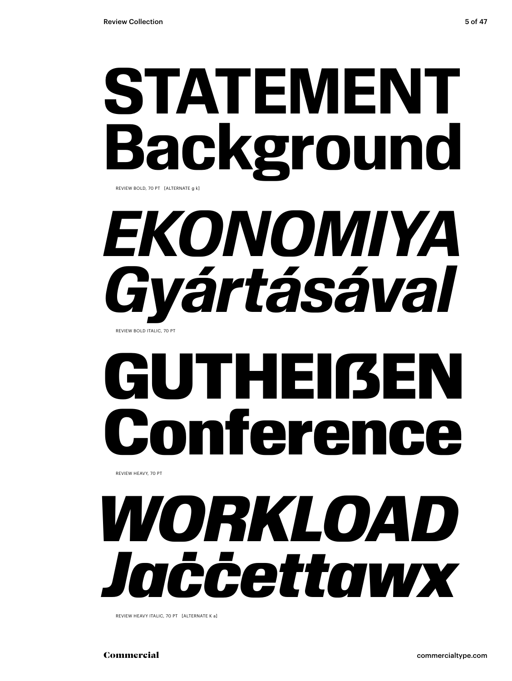

REVIEW BOLD, 70 PT [ALTERNATE g k]

## *EKONOMIYA Gyártásával* REVIEW BOLD ITALIC, 70 PT

# GUTHEIßEN<br>Conference Confere

REVIEW HEAVY, 70 PT

## *WORKLOAD Jaċċettawx*

REVIEW HEAVY ITALIC, 70 PT [ALTERNATE K a]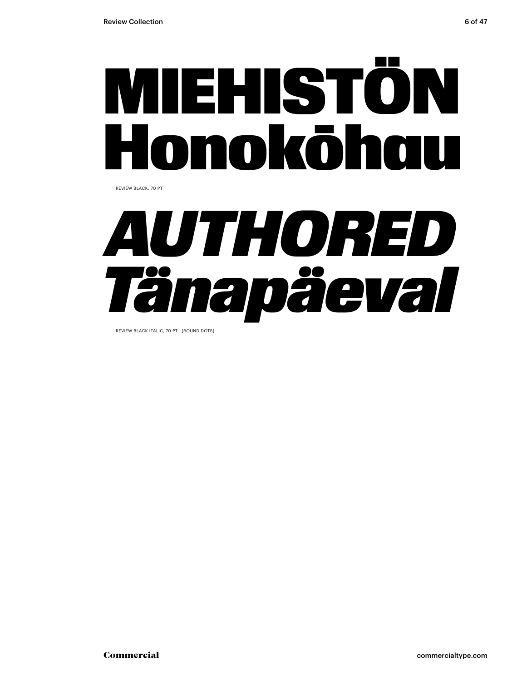

REVIEW BLACK, 70 PT



REVIEW BLACK ITALIC, 70 PT [ROUND DOTS]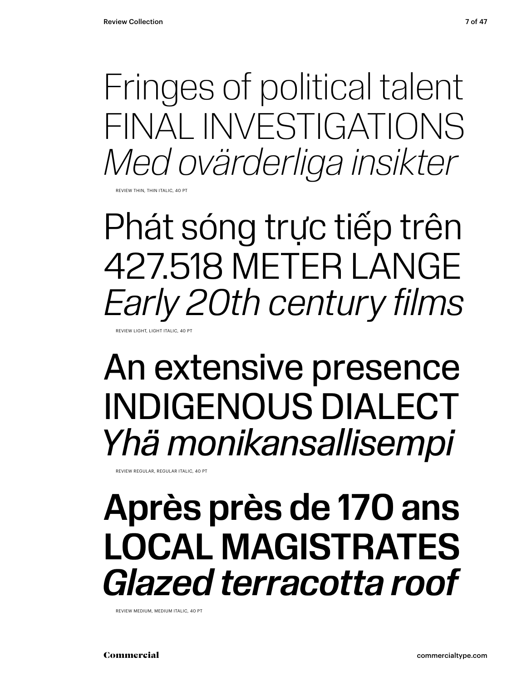Fringes of political talent FINAL INVESTIGATIONS *Med ovärderliga insikter*

REVIEW THIN, THIN ITALIC, 40 PT

Phát sóng trực tiếp trên 427.518 METER LANGE *Early 20th century films* REVIEW LIGHT, LIGHT ITALIC, 40 PT

### An extensive presence INDIGENOUS DIALECT *Yhä monikansallisempi*

REVIEW REGULAR, REGULAR ITALIC, 40 PT

## Après près de 170 ans LOCAL MAGISTRATES *Glazed terracotta roof*

REVIEW MEDIUM, MEDIUM ITALIC, 40 PT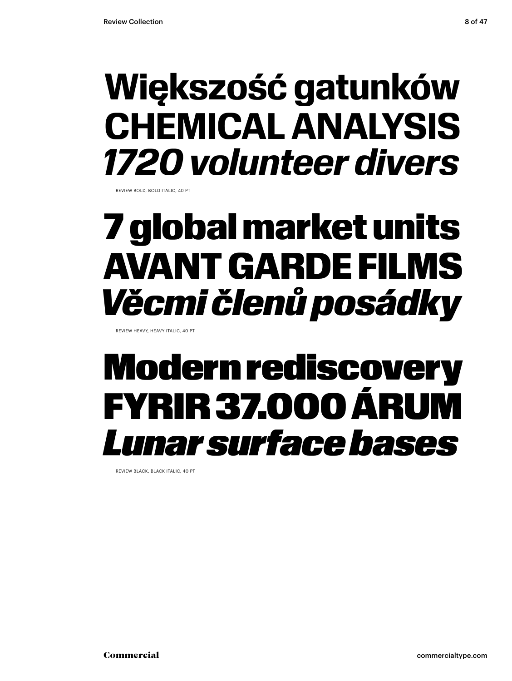### **Większość gatunków CHEMICAL ANALYSIS** *1720 volunteer divers*

REVIEW BOLD, BOLD ITALIC, 40 PT

## 7 global market units AVANT GARDE FILMS *Věcmi členů posádky*

REVIEW HEAVY, HEAVY ITALIC, 40 PT

### Modern rediscovery FYRIR 37.000 ÁRUM *Lunar surface bases*

REVIEW BLACK, BLACK ITALIC, 40 PT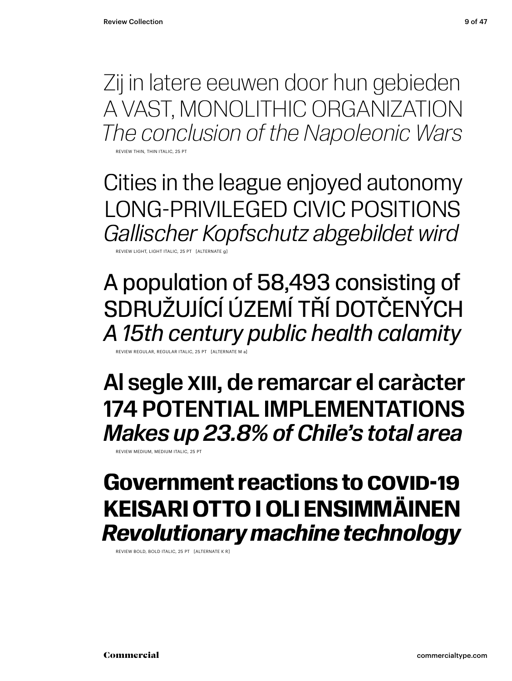Zij in latere eeuwen door hun gebieden A VAST, MONOLITHIC ORGANIZATION *The conclusion of the Napoleonic Wars*

REVIEW THIN THIN ITALIC, 25 PT

Cities in the league enjoyed autonomy LONG-PRIVILEGED CIVIC POSITIONS *Gallischer Kopfschutz abgebildet wird*

REVIEW LIGHT, LIGHT ITALIC, 25 PT [ALTERNATE g]

A population of 58,493 consisting of SDRUŽUJÍCÍ ÚZEMÍ TŘÍ DOTČENÝCH *A 15th century public health calamity*

REVIEW REGULAR, REGULAR ITALIC, 25 PT [ALTERNATE M a]

Al segle XIII, de remarcar el caràcter 174 POTENTIAL IMPLEMENTATIONS *Makes up 23.8% of Chile's total area*

REVIEW MEDIUM, MEDIUM ITALIC, 25 PT

### **Government reactions to COVID-19 KEISARI OTTO I OLI ENSIMMÄINEN** *Revolutionary machine technology*

REVIEW BOLD, BOLD ITALIC, 25 PT [ALTERNATE K R]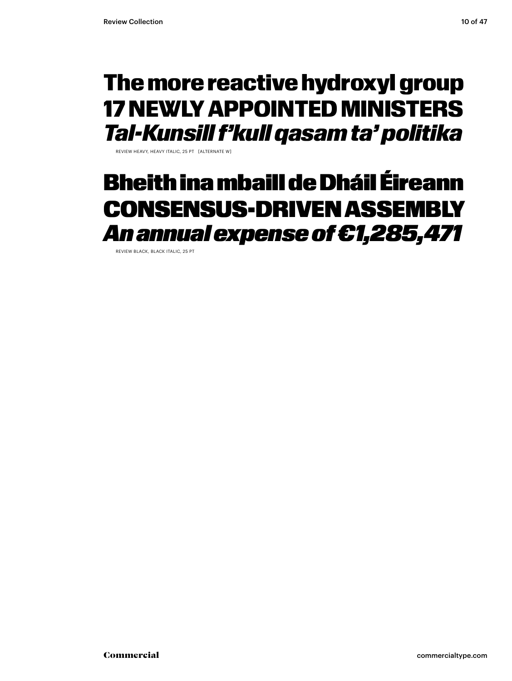### The more reactive hydroxyl group 17 NEWLY APPOINTED MINISTERS *Tal-Kunsill f'kull qasam ta' politika*

REVIEW HEAVY, HEAVY ITALIC, 25 PT [ALTERNATE W]

### Bheith ina mbaill de Dháil Éireann CONSENSUS-DRIVEN ASSEMBLY *An annual expense of €1,285,471*

REVIEW BLACK, BLACK ITALIC, 25 PT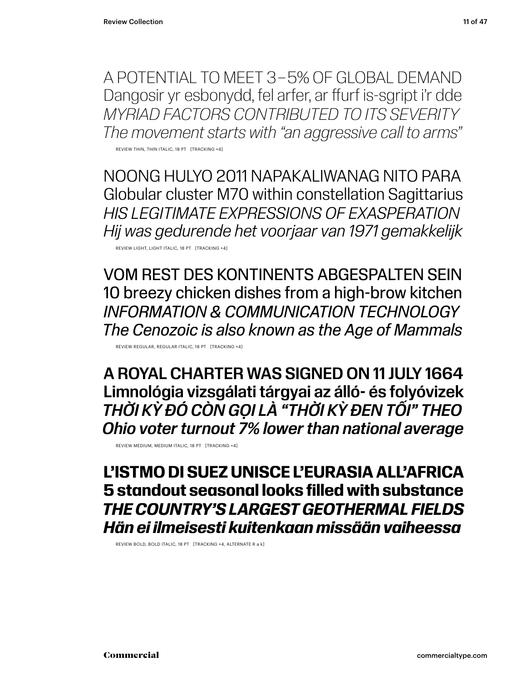A POTENTIAL TO MEET 3 – 5% OF GLOBAL DEMAND Dangosir yr esbonydd, fel arfer, ar ffurf is-sgript i'r dde *MYRIAD FACTORS CONTRIBUTED TO ITS SEVERITY The movement starts with "an aggressive call to arms"*

REVIEW THIN, THIN ITALIC, 18 PT [TRACKING +4]

NOONG HULYO 2011 NAPAKALIWANAG NITO PARA Globular cluster M70 within constellation Sagittarius *HIS LEGITIMATE EXPRESSIONS OF EXASPERATION Hij was gedurende het voorjaar van 1971 gemakkelijk*

REVIEW LIGHT, LIGHT ITALIC, 18 PT [TRACKING +4]

VOM REST DES KONTINENTS ABGESPALTEN SEIN 10 breezy chicken dishes from a high-brow kitchen *INFORMATION & COMMUNICATION TECHNOLOGY The Cenozoic is also known as the Age of Mammals*

REVIEW REGULAR, REGULAR ITALIC, 18 PT [TRACKING +4]

A ROYAL CHARTER WAS SIGNED ON 11 JULY 1664 Limnológia vizsgálati tárgyai az álló- és folyóvizek *THỜI KỲ ĐÓ CÒN GỌI LÀ "THỜI KỲ ĐEN TỐI" THEO Ohio voter turnout 7% lower than national average*

REVIEW MEDIUM, MEDIUM ITALIC, 18 PT [TRACKING +4]

### **L'ISTMO DI SUEZ UNISCE L'EURASIA ALL'AFRICA 5 standout seasonal looks filled with substance** *THE COUNTRY'S LARGEST GEOTHERMAL FIELDS Hän ei ilmeisesti kuitenkaan missään vaiheessa*

REVIEW BOLD, BOLD ITALIC, 18 PT [TRACKING +4, ALTERNATE R a k]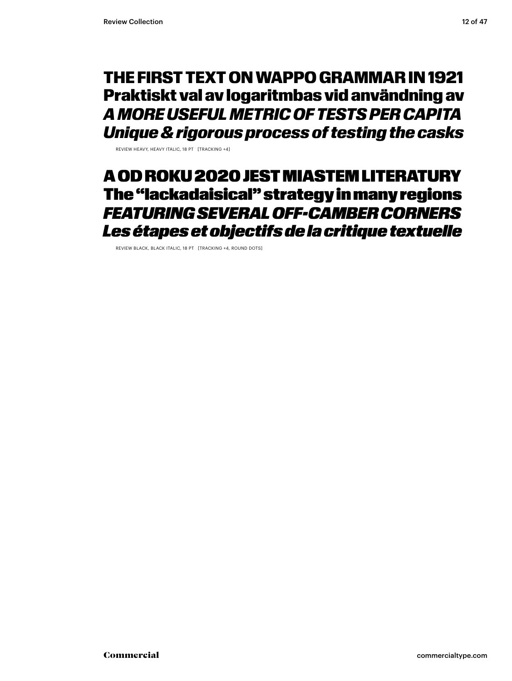### THE FIRST TEXT ON WAPPO GRAMMAR IN 1921 Praktiskt val av logaritmbas vid användning av *A MORE USEFUL METRIC OF TESTS PER CAPITA Unique & rigorous process of testing the casks*

REVIEW HEAVY, HEAVY ITALIC, 18 PT [TRACKING +4]

### A OD ROKU 2020 JEST MIASTEM LITERATURY The "lackadaisical" strategy in many regions *FEATURING SEVERAL OFF-CAMBER CORNERS Les étapes et objectifs de la critique textuelle*

REVIEW BLACK, BLACK ITALIC, 18 PT [TRACKING +4, ROUND DOTS]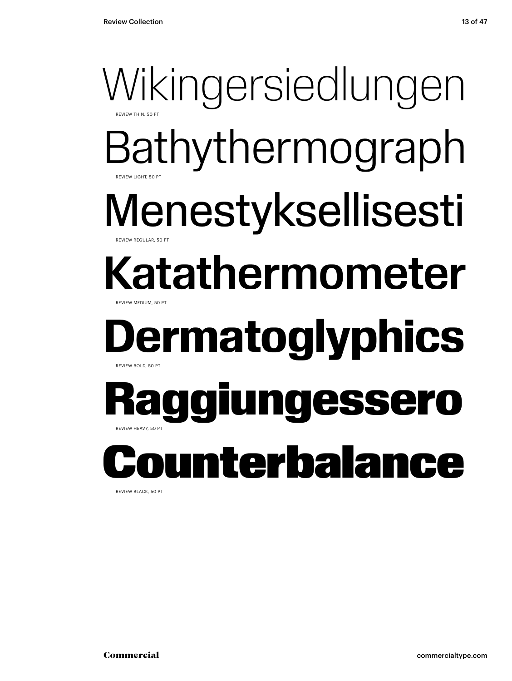### Wikingersiedlungen REVIEW THIN, 50 PT Bathythermograph Menestyksellisesti Katathermometer REVIEW LIGHT, 50 PT EVIEW REGULAR, 50 PT REVIEW MEDIUM, 50 PT **Dermatoglyphics** REVIEW BOLD, 50 PT Raggiungessero REVIEW HEAVY, 50 PT nterbala

REVIEW BLACK, 50 PT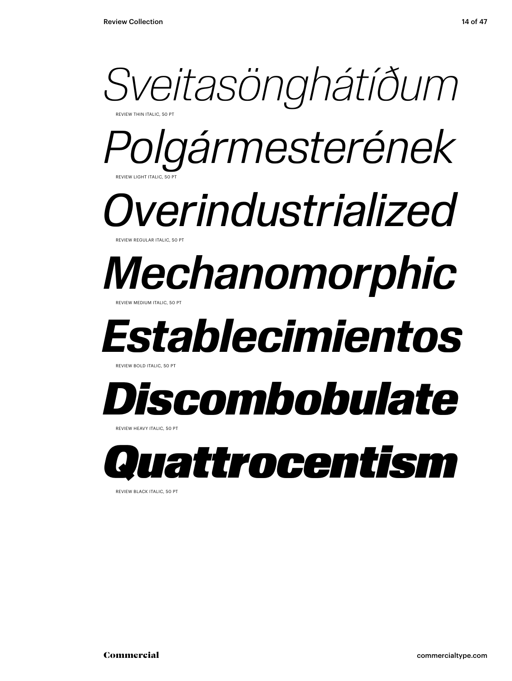

REVIEW BLACK ITALIC, 50 PT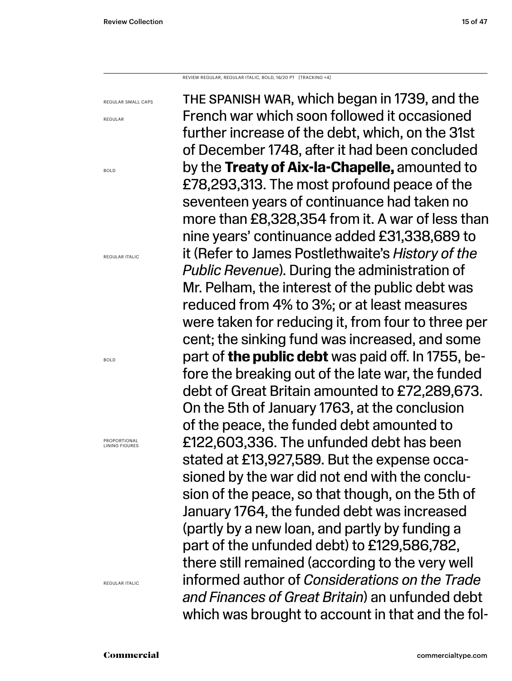REVIEW REGULAR, REGULAR ITALIC, BOLD, 16/20 PT [TRACKING +4]

REGULAR SMALL CAPS

REGULAR

BOLD

REGULAR ITALIC

BOLD

PROPORTIONAL LINING FIGURES

REGULAR ITALIC

THE SPANISH WAR, which began in 1739, and the French war which soon followed it occasioned further increase of the debt, which, on the 31st of December 1748, after it had been concluded by the **Treaty of Aix-la-Chapelle,** amounted to £78,293,313. The most profound peace of the seventeen years of continuance had taken no more than £8,328,354 from it. A war of less than nine years' continuance added £31,338,689 to it (Refer to James Postlethwaite's *History of the Public Revenue*). During the administration of Mr. Pelham, the interest of the public debt was reduced from 4% to 3%; or at least measures were taken for reducing it, from four to three per cent; the sinking fund was increased, and some part of **the public debt** was paid off. In 1755, before the breaking out of the late war, the funded debt of Great Britain amounted to £72,289,673. On the 5th of January 1763, at the conclusion of the peace, the funded debt amounted to £122,603,336. The unfunded debt has been stated at £13,927,589. But the expense occasioned by the war did not end with the conclusion of the peace, so that though, on the 5th of January 1764, the funded debt was increased (partly by a new loan, and partly by funding a part of the unfunded debt) to £129,586,782, there still remained (according to the very well informed author of *Considerations on the Trade and Finances of Great Britain*) an unfunded debt which was brought to account in that and the fol-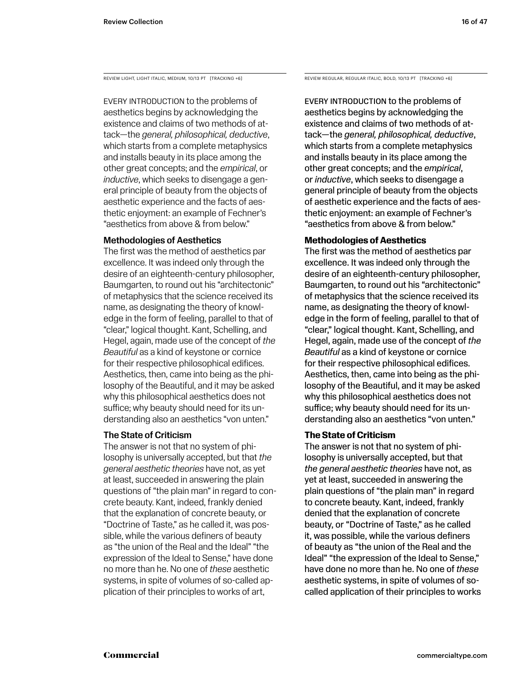Every introduction to the problems of aesthetics begins by acknowledging the existence and claims of two methods of attack—the *general, philosophical, deductive*, which starts from a complete metaphysics and installs beauty in its place among the other great concepts; and the *empirical*, or *inductive*, which seeks to disengage a general principle of beauty from the objects of aesthetic experience and the facts of aesthetic enjoyment: an example of Fechner's "aesthetics from above & from below."

### Methodologies of Aesthetics

The first was the method of aesthetics par excellence. It was indeed only through the desire of an eighteenth-century philosopher, Baumgarten, to round out his "architectonic" of metaphysics that the science received its name, as designating the theory of knowledge in the form of feeling, parallel to that of "clear," logical thought. Kant, Schelling, and Hegel, again, made use of the concept of *the Beautiful* as a kind of keystone or cornice for their respective philosophical edifices. Aesthetics, then, came into being as the philosophy of the Beautiful, and it may be asked why this philosophical aesthetics does not suffice; why beauty should need for its understanding also an aesthetics "von unten."

### The State of Criticism

The answer is not that no system of philosophy is universally accepted, but that *the general aesthetic theories* have not, as yet at least, succeeded in answering the plain questions of "the plain man" in regard to concrete beauty. Kant, indeed, frankly denied that the explanation of concrete beauty, or "Doctrine of Taste," as he called it, was possible, while the various definers of beauty as "the union of the Real and the Ideal" "the expression of the Ideal to Sense," have done no more than he. No one of *these* aesthetic systems, in spite of volumes of so-called application of their principles to works of art,

REVIEW LIGHT, LIGHT ITALIC, MEDIUM, 10/13 PT [TRACKING +6] REVIEW REGULAR, REGULAR ITALIC, BOLD, 10/13 PT [TRACKING +6]

Every introduction to the problems of aesthetics begins by acknowledging the existence and claims of two methods of attack—the *general, philosophical, deductive*, which starts from a complete metaphysics and installs beauty in its place among the other great concepts; and the *empirical*, or *inductive*, which seeks to disengage a general principle of beauty from the objects of aesthetic experience and the facts of aesthetic enjoyment: an example of Fechner's "aesthetics from above & from below."

### **Methodologies of Aesthetics**

The first was the method of aesthetics par excellence. It was indeed only through the desire of an eighteenth-century philosopher, Baumgarten, to round out his "architectonic" of metaphysics that the science received its name, as designating the theory of knowledge in the form of feeling, parallel to that of "clear," logical thought. Kant, Schelling, and Hegel, again, made use of the concept of *the Beautiful* as a kind of keystone or cornice for their respective philosophical edifices. Aesthetics, then, came into being as the philosophy of the Beautiful, and it may be asked why this philosophical aesthetics does not suffice; why beauty should need for its understanding also an aesthetics "von unten."

### **The State of Criticism**

The answer is not that no system of philosophy is universally accepted, but that *the general aesthetic theories* have not, as yet at least, succeeded in answering the plain questions of "the plain man" in regard to concrete beauty. Kant, indeed, frankly denied that the explanation of concrete beauty, or "Doctrine of Taste," as he called it, was possible, while the various definers of beauty as "the union of the Real and the Ideal" "the expression of the Ideal to Sense," have done no more than he. No one of *these* aesthetic systems, in spite of volumes of socalled application of their principles to works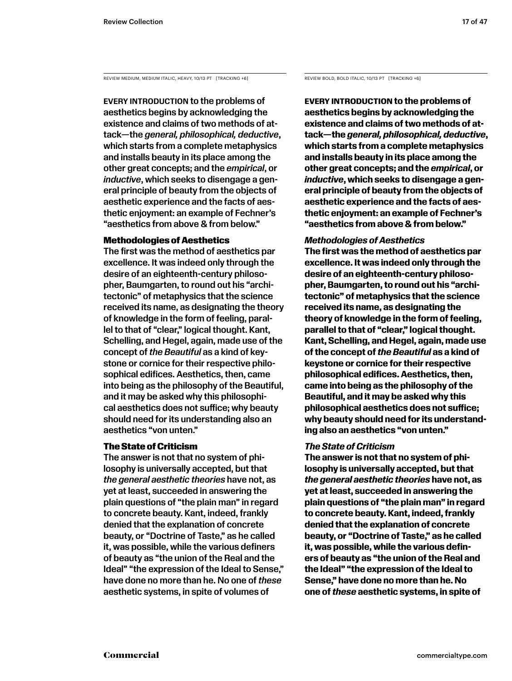REVIEW MEDIUM, MEDIUM ITALIC, HEAVY, 10/13 PT [TRACKING +6]

Every introduction to the problems of aesthetics begins by acknowledging the existence and claims of two methods of attack—the *general, philosophical, deductive*, which starts from a complete metaphysics and installs beauty in its place among the other great concepts; and the *empirical*, or *inductive*, which seeks to disengage a general principle of beauty from the objects of aesthetic experience and the facts of aesthetic enjoyment: an example of Fechner's "aesthetics from above & from below."

### Methodologies of Aesthetics

The first was the method of aesthetics par excellence. It was indeed only through the desire of an eighteenth-century philosopher, Baumgarten, to round out his "architectonic" of metaphysics that the science received its name, as designating the theory of knowledge in the form of feeling, parallel to that of "clear," logical thought. Kant, Schelling, and Hegel, again, made use of the concept of *the Beautiful* as a kind of keystone or cornice for their respective philosophical edifices. Aesthetics, then, came into being as the philosophy of the Beautiful, and it may be asked why this philosophical aesthetics does not suffice; why beauty should need for its understanding also an aesthetics "von unten."

### The State of Criticism

The answer is not that no system of philosophy is universally accepted, but that *the general aesthetic theories* have not, as yet at least, succeeded in answering the plain questions of "the plain man" in regard to concrete beauty. Kant, indeed, frankly denied that the explanation of concrete beauty, or "Doctrine of Taste," as he called it, was possible, while the various definers of beauty as "the union of the Real and the Ideal" "the expression of the Ideal to Sense," have done no more than he. No one of *these* aesthetic systems, in spite of volumes of

REVIEW BOLD, BOLD ITALIC, 10/13 PT [TRACKING +6]

**Every introduction to the problems of aesthetics begins by acknowledging the existence and claims of two methods of attack—the** *general, philosophical, deductive***, which starts from a complete metaphysics and installs beauty in its place among the other great concepts; and the** *empirical***, or**  *inductive***, which seeks to disengage a general principle of beauty from the objects of aesthetic experience and the facts of aesthetic enjoyment: an example of Fechner's "aesthetics from above & from below."** 

### *Methodologies of Aesthetics*

**The first was the method of aesthetics par excellence. It was indeed only through the desire of an eighteenth-century philosopher, Baumgarten, to round out his "architectonic" of metaphysics that the science received its name, as designating the theory of knowledge in the form of feeling, parallel to that of "clear," logical thought. Kant, Schelling, and Hegel, again, made use of the concept of** *the Beautiful* **as a kind of keystone or cornice for their respective philosophical edifices. Aesthetics, then, came into being as the philosophy of the Beautiful, and it may be asked why this philosophical aesthetics does not suffice; why beauty should need for its understanding also an aesthetics "von unten."** 

### *The State of Criticism*

**The answer is not that no system of philosophy is universally accepted, but that**  *the general aesthetic theories* **have not, as yet at least, succeeded in answering the plain questions of "the plain man" in regard to concrete beauty. Kant, indeed, frankly denied that the explanation of concrete beauty, or "Doctrine of Taste," as he called it, was possible, while the various definers of beauty as "the union of the Real and the Ideal" "the expression of the Ideal to Sense," have done no more than he. No one of** *these* **aesthetic systems, in spite of**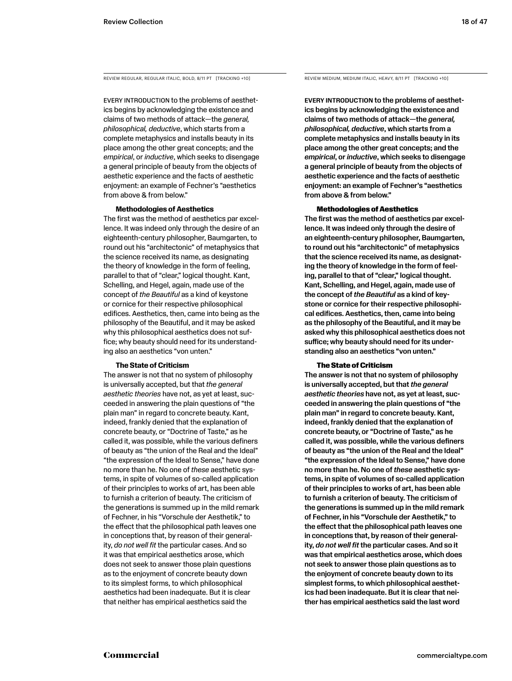EVERY INTRODUCTION to the problems of aesthetics begins by acknowledging the existence and claims of two methods of attack—the *general, philosophical, deductive*, which starts from a complete metaphysics and installs beauty in its place among the other great concepts; and the *empirical*, or *inductive*, which seeks to disengage a general principle of beauty from the objects of aesthetic experience and the facts of aesthetic enjoyment: an example of Fechner's "aesthetics from above & from below."

#### **Methodologies of Aesthetics**

The first was the method of aesthetics par excellence. It was indeed only through the desire of an eighteenth-century philosopher, Baumgarten, to round out his "architectonic" of metaphysics that the science received its name, as designating the theory of knowledge in the form of feeling, parallel to that of "clear," logical thought. Kant, Schelling, and Hegel, again, made use of the concept of *the Beautiful* as a kind of keystone or cornice for their respective philosophical edifices. Aesthetics, then, came into being as the philosophy of the Beautiful, and it may be asked why this philosophical aesthetics does not suffice; why beauty should need for its understanding also an aesthetics "von unten."

#### **The State of Criticism**

The answer is not that no system of philosophy is universally accepted, but that *the general aesthetic theories* have not, as yet at least, succeeded in answering the plain questions of "the plain man" in regard to concrete beauty. Kant, indeed, frankly denied that the explanation of concrete beauty, or "Doctrine of Taste," as he called it, was possible, while the various definers of beauty as "the union of the Real and the Ideal" "the expression of the Ideal to Sense," have done no more than he. No one of *these* aesthetic systems, in spite of volumes of so-called application of their principles to works of art, has been able to furnish a criterion of beauty. The criticism of the generations is summed up in the mild remark of Fechner, in his "Vorschule der Aesthetik," to the effect that the philosophical path leaves one in conceptions that, by reason of their generality, *do not well fit* the particular cases. And so it was that empirical aesthetics arose, which does not seek to answer those plain questions as to the enjoyment of concrete beauty down to its simplest forms, to which philosophical aesthetics had been inadequate. But it is clear that neither has empirical aesthetics said the

REVIEW REGULAR, REGULAR ITALIC, BOLD, 8/11 PT [TRACKING +10] REVIEW MEDIUM, MEDIUM ITALIC, HEAVY, 8/11 PT [TRACKING +10]

Every introduction to the problems of aesthetics begins by acknowledging the existence and claims of two methods of attack—the *general, philosophical, deductive*, which starts from a complete metaphysics and installs beauty in its place among the other great concepts; and the *empirical*, or *inductive*, which seeks to disengage a general principle of beauty from the objects of aesthetic experience and the facts of aesthetic enjoyment: an example of Fechner's "aesthetics from above & from below."

#### Methodologies of Aesthetics

The first was the method of aesthetics par excellence. It was indeed only through the desire of an eighteenth-century philosopher, Baumgarten, to round out his "architectonic" of metaphysics that the science received its name, as designating the theory of knowledge in the form of feeling, parallel to that of "clear," logical thought. Kant, Schelling, and Hegel, again, made use of the concept of *the Beautiful* as a kind of keystone or cornice for their respective philosophical edifices. Aesthetics, then, came into being as the philosophy of the Beautiful, and it may be asked why this philosophical aesthetics does not suffice; why beauty should need for its understanding also an aesthetics "von unten."

#### The State of Criticism

The answer is not that no system of philosophy is universally accepted, but that *the general aesthetic theories* have not, as yet at least, succeeded in answering the plain questions of "the plain man" in regard to concrete beauty. Kant, indeed, frankly denied that the explanation of concrete beauty, or "Doctrine of Taste," as he called it, was possible, while the various definers of beauty as "the union of the Real and the Ideal" "the expression of the Ideal to Sense," have done no more than he. No one of *these* aesthetic systems, in spite of volumes of so-called application of their principles to works of art, has been able to furnish a criterion of beauty. The criticism of the generations is summed up in the mild remark of Fechner, in his "Vorschule der Aesthetik," to the effect that the philosophical path leaves one in conceptions that, by reason of their generality, *do not well fit* the particular cases. And so it was that empirical aesthetics arose, which does not seek to answer those plain questions as to the enjoyment of concrete beauty down to its simplest forms, to which philosophical aesthetics had been inadequate. But it is clear that neither has empirical aesthetics said the last word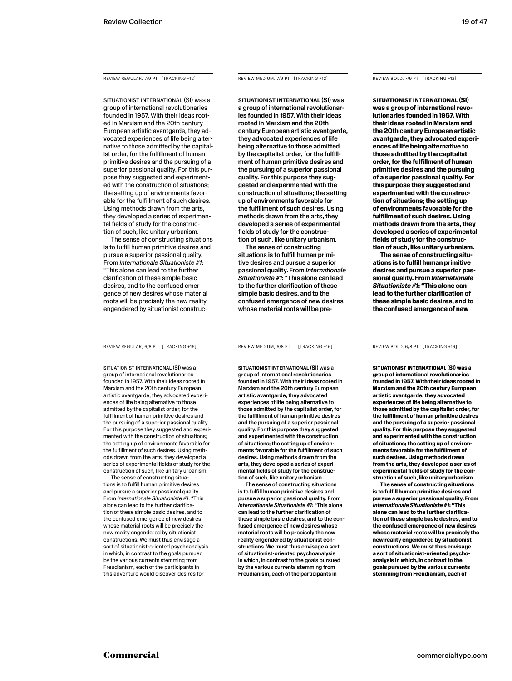REVIEW REGULAR, 7/9 PT [TRACKING +12]

SITUATIONIST INTERNATIONAL (SI) was a group of international revolutionaries founded in 1957. With their ideas rooted in Marxism and the 20th century European artistic avantgarde, they advocated experiences of life being alternative to those admitted by the capitalist order, for the fulfillment of human primitive desires and the pursuing of a superior passional quality. For this purpose they suggested and experimented with the construction of situations; the setting up of environments favorable for the fulfillment of such desires. Using methods drawn from the arts, they developed a series of experimental fields of study for the construction of such, like unitary urbanism.

The sense of constructing situations is to fulfill human primitive desires and pursue a superior passional quality. From *Internationale Situationiste #1*: "This alone can lead to the further clarification of these simple basic desires, and to the confused emergence of new desires whose material roots will be precisely the new reality engendered by situationist construc-

REVIEW REGULAR, 6/8 PT [TRACKING +16]

SITUATIONIST INTERNATIONAL (SI) was a group of international revolutionaries founded in 1957. With their ideas rooted in Marxism and the 20th century European artistic avantgarde, they advocated experiences of life being alternative to those admitted by the capitalist order, for the fulfillment of human primitive desires and the pursuing of a superior passional quality. For this purpose they suggested and experimented with the construction of situations; the setting up of environments favorable for the fulfillment of such desires. Using methods drawn from the arts, they developed a series of experimental fields of study for the construction of such, like unitary urbanism.

The sense of constructing situations is to fulfill human primitive desires and pursue a superior passional quality. From *Internationale Situationiste #1*: "This alone can lead to the further clarification of these simple basic desires, and to the confused emergence of new desires whose material roots will be precisely the new reality engendered by situationist constructions. We must thus envisage a sort of situationist-oriented psychoanalysis in which, in contrast to the goals pursued by the various currents stemming from Freudianism, each of the participants in this adventure would discover desires for

REVIEW MEDIUM, 7/9 PT [TRACKING +12]

SITUATIONIST INTERNATIONAL (SI) was a group of international revolutionaries founded in 1957. With their ideas rooted in Marxism and the 20th century European artistic avantgarde, they advocated experiences of life being alternative to those admitted by the capitalist order, for the fulfillment of human primitive desires and the pursuing of a superior passional quality. For this purpose they suggested and experimented with the construction of situations; the setting up of environments favorable for the fulfillment of such desires. Using methods drawn from the arts, they developed a series of experimental fields of study for the construction of such, like unitary urbanism.

The sense of constructing situations is to fulfill human primitive desires and pursue a superior passional quality. From *Internationale Situationiste #1*: "This alone can lead to the further clarification of these simple basic desires, and to the confused emergence of new desires whose material roots will be pre-

REVIEW MEDIUM, 6/8 PT [TRACKING +16]

SITUATIONIST INTERNATIONAL (SI) was a group of international revolutionaries founded in 1957. With their ideas rooted in Marxism and the 20th century European artistic avantgarde, they advocated experiences of life being alternative to those admitted by the capitalist order, for the fulfillment of human primitive desires and the pursuing of a superior passional quality. For this purpose they suggested and experimented with the construction of situations; the setting up of environments favorable for the fulfillment of such desires. Using methods drawn from the arts, they developed a series of experimental fields of study for the construction of such, like unitary urbanism.

The sense of constructing situations is to fulfill human primitive desires and pursue a superior passional quality. From *Internationale Situationiste #1*: "This alone can lead to the further clarification of these simple basic desires, and to the confused emergence of new desires whose material roots will be precisely the new reality engendered by situationist constructions. We must thus envisage a sort of situationist-oriented psychoanalysis in which, in contrast to the goals pursued by the various currents stemming from Freudianism, each of the participants in

REVIEW BOLD, 7/9 PT [TRACKING +12]

**SITUATIONIST INTERNATIONAL (SI) was a group of international revolutionaries founded in 1957. With their ideas rooted in Marxism and the 20th century European artistic avantgarde, they advocated experiences of life being alternative to those admitted by the capitalist order, for the fulfillment of human primitive desires and the pursuing of a superior passional quality. For this purpose they suggested and experimented with the construction of situations; the setting up of environments favorable for the fulfillment of such desires. Using methods drawn from the arts, they developed a series of experimental fields of study for the construction of such, like unitary urbanism.**

**The sense of constructing situations is to fulfill human primitive desires and pursue a superior passional quality. From** *Internationale Situationiste #1***: "This alone can lead to the further clarification of these simple basic desires, and to the confused emergence of new** 

REVIEW BOLD, 6/8 PT [TRACKING +16]

**SITUATIONIST INTERNATIONAL (SI) was a group of international revolutionaries founded in 1957. With their ideas rooted in Marxism and the 20th century European artistic avantgarde, they advocated experiences of life being alternative to those admitted by the capitalist order, for the fulfillment of human primitive desires and the pursuing of a superior passional quality. For this purpose they suggested and experimented with the construction of situations; the setting up of environments favorable for the fulfillment of such desires. Using methods drawn from the arts, they developed a series of experimental fields of study for the construction of such, like unitary urbanism.**

**The sense of constructing situations is to fulfill human primitive desires and pursue a superior passional quality. From**  *Internationale Situationiste #1***: "This alone can lead to the further clarification of these simple basic desires, and to the confused emergence of new desires whose material roots will be precisely the new reality engendered by situationist constructions. We must thus envisage a sort of situationist-oriented psychoanalysis in which, in contrast to the goals pursued by the various currents stemming from Freudianism, each of**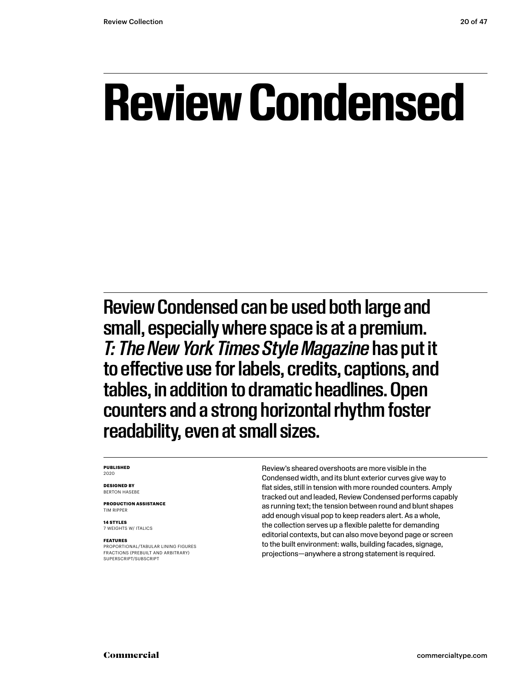## **Review Condensed**

Review Condensed can be used both large and small, especially where space is at a premium. *T: The New York Times Style Magazine* has put it to effective use for labels, credits, captions, and tables, in addition to dramatic headlines. Open counters and a strong horizontal rhythm foster readability, even at small sizes.

#### **PUBLISHED** 2020

**DESIGNED BY** BERTON HASEBE

**PRODUCTION ASSISTANCE** TIM RIPPER

**14 STYLES** 7 WEIGHTS W/ ITALICS

#### **FEATURES**

PROPORTIONAL/TABULAR LINING FIGURES FRACTIONS (PREBUILT AND ARBITRARY) SUPERSCRIPT/SUBSCRIPT

Review's sheared overshoots are more visible in the Condensed width, and its blunt exterior curves give way to flat sides, still in tension with more rounded counters. Amply tracked out and leaded, Review Condensed performs capably as running text; the tension between round and blunt shapes add enough visual pop to keep readers alert. As a whole, the collection serves up a flexible palette for demanding editorial contexts, but can also move beyond page or screen to the built environment: walls, building facades, signage, projections—anywhere a strong statement is required.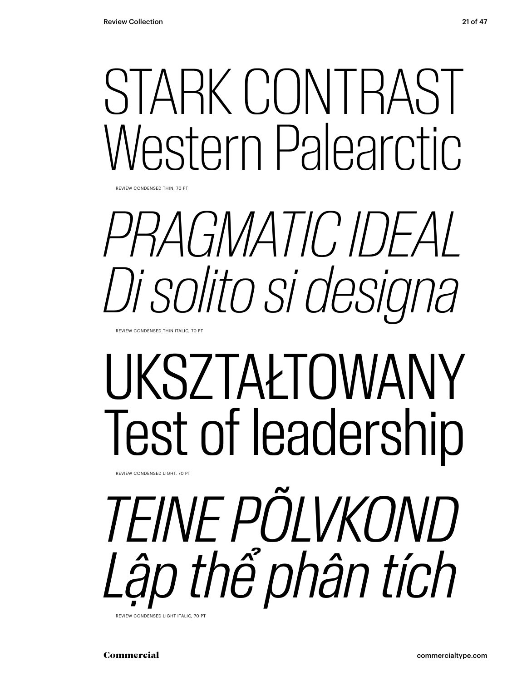## STARK CONTRAST Western Palearctic.

REVIEW CONDENSED THIN, 70 PT

## *PRAGMATIC IDEAL Di solito si designa*

REVIEW CONDENSED THIN ITALIC, 70 PT

REVIEW CONDENSED LIGHT, 70 PT

# UKSZTAŁTOWANY Test of leadership

*TEINE PÕLVKOND Lập thể phân tích*

REVIEW CONDENSED LIGHT ITALIC, 70 PT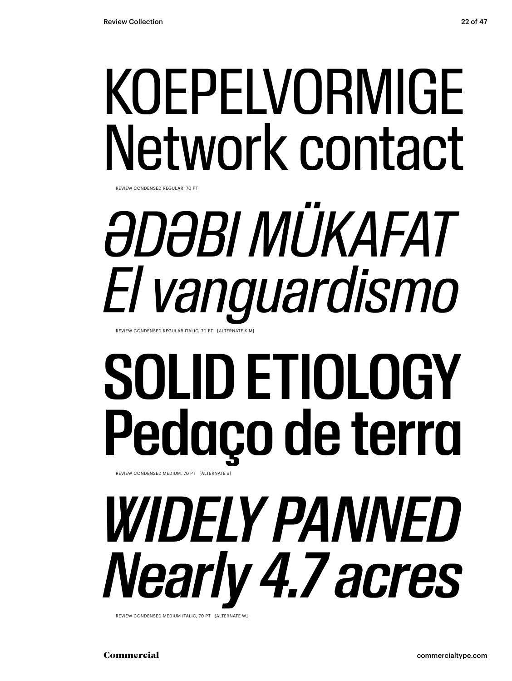## KOEPELVORMIGE Network contact

REVIEW CONDENSED REGULAR, 70 PT

## *ƏDƏBI MÜKAFAT El vanguardismo* REVIEW CONDENSED REGULAR ITALIC, 70 PT [ALTERNATE K M]

## SOLID ETIOLOGY Pedaço de terra REVIEW CONDENSED MEDIUM, 70 PT [ALTERNATE a]

*WIDELY PANNED Nearly 4.7 acres*

REVIEW CONDENSED MEDIUM ITALIC, 70 PT [ALTERNATE W]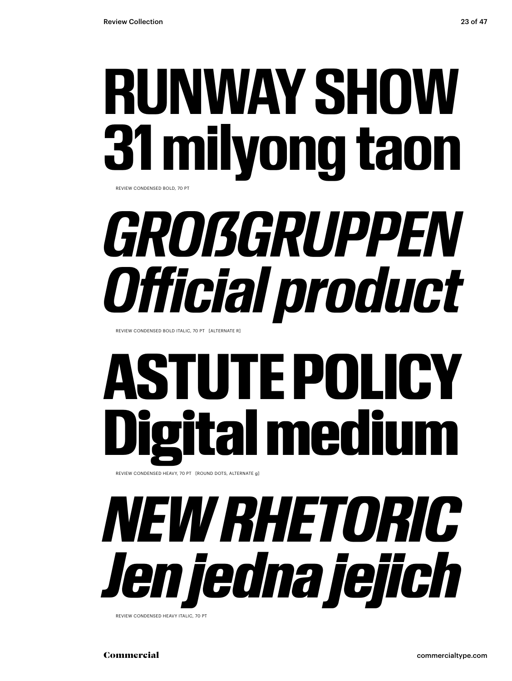## **RUNWAY SHOW 31 milyong taon** REVIEW CONDENSED BOLD, 70 PT

*GROẞGRUPPEN Official product*

REVIEW CONDENSED BOLD ITALIC, 70 PT [ALTERNATE R]

# **ASTUTE POLI** ital mediu

REVIEW CONDENSED HEAVY, 70 PT [ROUND DOTS, ALTERNATE g]

# *NEW RHETORIC Jen jedna jejich*

REVIEW CONDENSED HEAVY ITALIC, 70 PT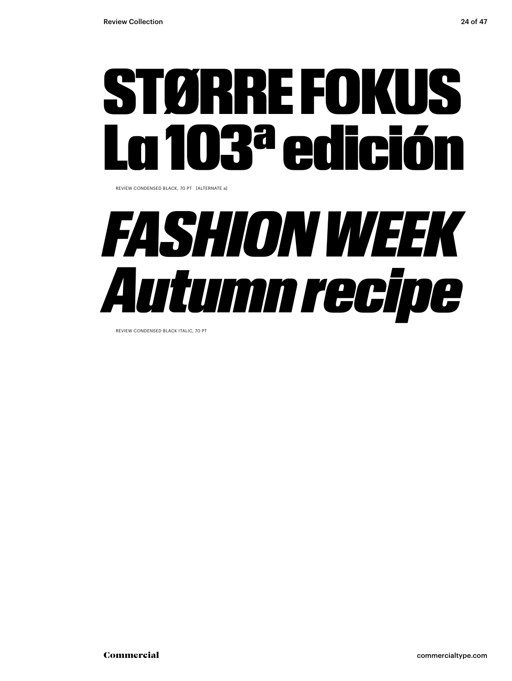

REVIEW CONDENSED BLACK, 70 PT [ALTERNATE a]

## *FASHION WEEK Autumn recipe*

REVIEW CONDENSED BLACK ITALIC, 70 PT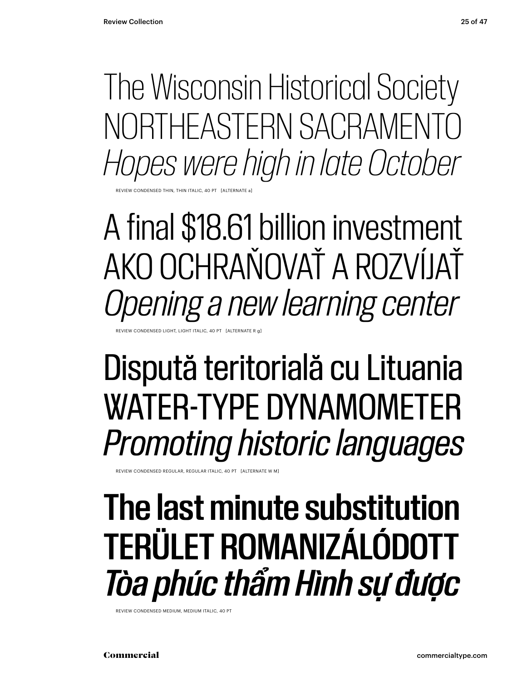The Wisconsin Historical Society NORTHEASTERN SACRAMENTO *Hopes were high in late October*

**EVIEW CONDENSED THIN** 

A final \$18.61 billion investment AKO OCHRAŇOVAŤ A ROZVÍJAŤ *Opening a new learning center*

EVIEW CONDENSED LIGHT, LIGHT ITALIC, 40 PT [ALTERNATE R

## Dispută teritorială cu Lituania WATER-TYPE DYNAMOMETER *Promoting historic languages*

REVIEW CONDENSED REGULAR, REGULAR ITALIC, 40 PT [ALTERNATE W M]

### The last minute substitution TERÜLET ROMANIZÁLÓDOTT *Tòa phúc thẩm Hình sự được*

REVIEW CONDENSED MEDIUM, MEDIUM ITALIC, 40 PT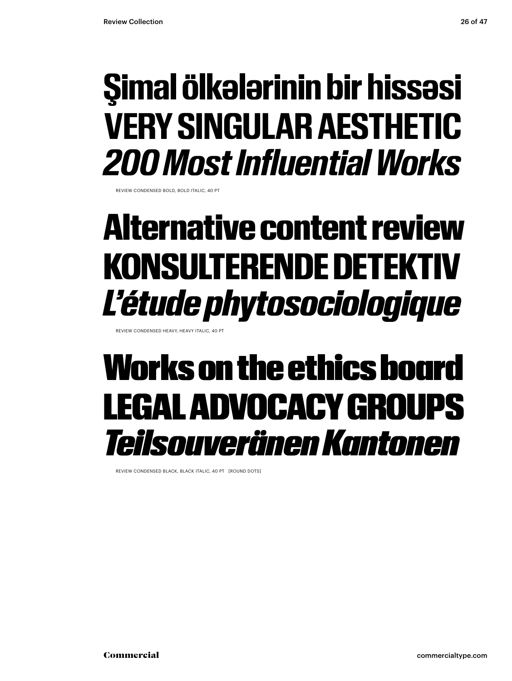### **Şimal ölkələrinin bir hissəsi VERY SINGULAR AESTHETIC** *200 Most Influential Works*

REVIEW CONDENSED BOLD, BOLD ITALIC, 40 PT

### Alternative content review KONSULTERENDE DETEKTIV *L'étude phytosociologique*

REVIEW CONDENSED HEAVY, HEAVY ITALIC, 40 PT

### Works on the ethics board LEGAL ADVOCACY GROUPS *Teilsouveränen Kantonen*

REVIEW CONDENSED BLACK, BLACK ITALIC, 40 PT [ROUND DOTS]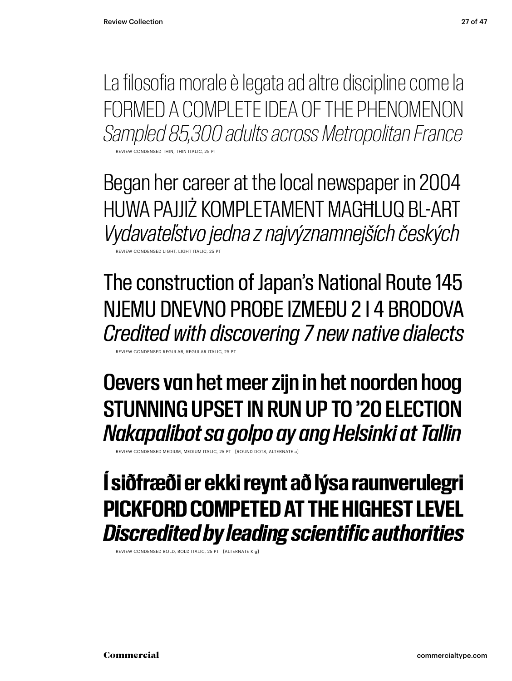La filosofia morale è legata ad altre discipline come la FORMED A COMPLETE IDEA OF THE PHENOMENON *Sampled 85,300 adults across Metropolitan France*

REVIEW CONDENSED THIN, THIN ITALIC, 25 PT

Began her career at the local newspaper in 2004 HUWA PAJJIŻ KOMPLETAMENT MAGĦLUQ BL-ART *Vydavateľstvo jedna z najvýznamnejších českých* REVIEW CONDENSED LIGHT, LIGHT ITALIC, 25 PT

The construction of Japan's National Route 145 NJEMU DNEVNO PROĐE IZMEĐU 2 I 4 BRODOVA *Credited with discovering 7 new native dialects*

REVIEW CONDENSED REGULAR, REGULAR ITALIC, 25 PT

Oevers van het meer zijn in het noorden hoog STUNNING UPSET IN RUN UP TO '20 ELECTION *Nakapalibot sa golpo ay ang Helsinki at Tallin*

REVIEW CONDENSED MEDIUM, MEDIUM ITALIC, 25 PT [ROUND DOTS, ALTERNATE a]

### **Í siðfræði er ekki reynt að lýsa raunverulegri PICKFORD COMPETED AT THE HIGHEST LEVEL** *Discredited by leading scientific authorities*

REVIEW CONDENSED BOLD, BOLD ITALIC, 25 PT [ALTERNATE K g]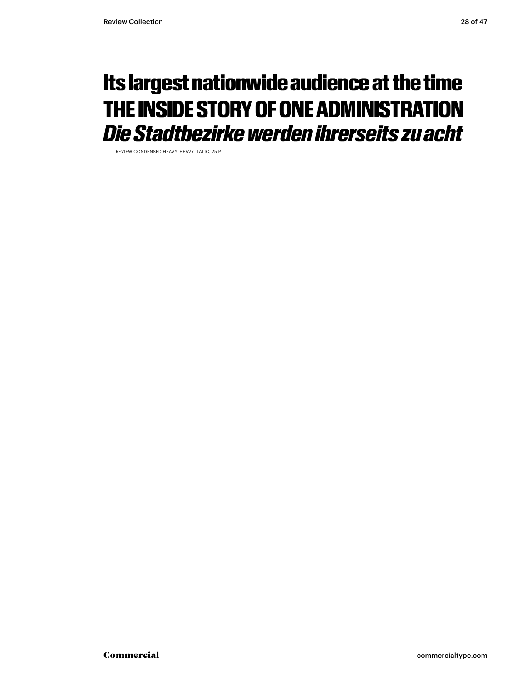### Its largest nationwide audience at the time THE INSIDE STORY OF ONE ADMINISTRATION *Die Stadtbezirke werden ihrerseits zu acht*

REVIEW CONDENSED HEAVY, HEAVY ITALIC, 25 PT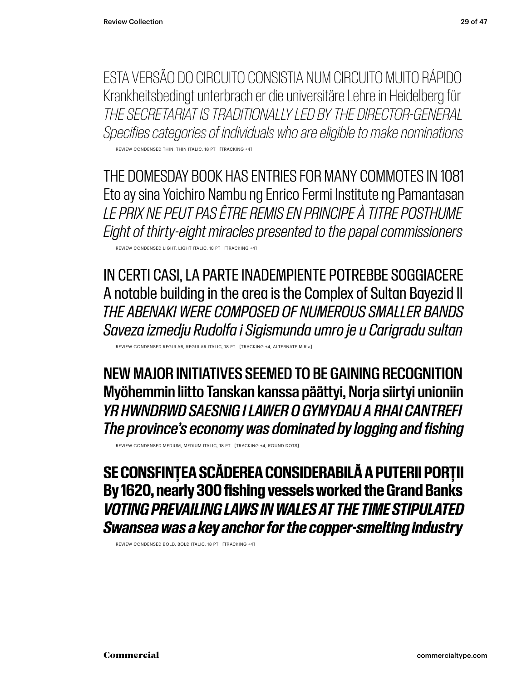ESTA VERSÃO DO CIRCUITO CONSISTIA NUM CIRCUITO MUITO RÁPIDO Krankheitsbedingt unterbrach er die universitäre Lehre in Heidelberg für *THE SECRETARIAT IS TRADITIONALLY LED BY THE DIRECTOR-GENERAL Specifies categories of individuals who are eligible to make nominations*

REVIEW CONDENSED THIN, THIN ITALIC, 18 PT [TRACKING +4]

THE DOMESDAY BOOK HAS ENTRIES FOR MANY COMMOTES IN 1081 Eto ay sina Yoichiro Nambu ng Enrico Fermi Institute ng Pamantasan *LE PRIX NE PEUT PAS ÊTRE REMIS EN PRINCIPE À TITRE POSTHUME Eight of thirty-eight miracles presented to the papal commissioners*

REVIEW CONDENSED LIGHT, LIGHT ITALIC, 18 PT [TRACKING +4]

IN CERTI CASI, LA PARTE INADEMPIENTE POTREBBE SOGGIACERE A notable building in the area is the Complex of Sultan Bayezid II *THE ABENAKI WERE COMPOSED OF NUMEROUS SMALLER BANDS Saveza izmedju Rudolfa i Sigismunda umro je u Carigradu sultan*

REVIEW CONDENSED REGULAR, REGULAR ITALIC, 18 PT [TRACKING +4, ALTERNATE M R a]

NEW MAJOR INITIATIVES SEEMED TO BE GAINING RECOGNITION Myöhemmin liitto Tanskan kanssa päättyi, Norja siirtyi unioniin *YR HWNDRWD SAESNIG I LAWER O GYMYDAU A RHAI CANTREFI The province's economy was dominated by logging and fishing*

REVIEW CONDENSED MEDIUM, MEDIUM ITALIC, 18 PT [TRACKING +4, ROUND DOTS]

**SE CONSFINȚEA SCĂDEREA CONSIDERABILĂ A PUTERII PORȚII By 1620, nearly 300 fishing vessels worked the Grand Banks** *VOTING PREVAILING LAWS IN WALES AT THE TIME STIPULATED Swansea was a key anchor for the copper-smelting industry*

REVIEW CONDENSED BOLD, BOLD ITALIC, 18 PT [TRACKING +4]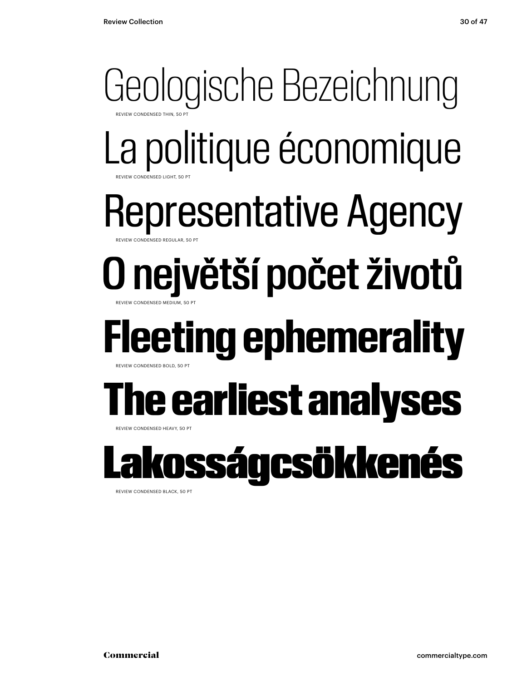### Geologische Bezeichnung **REVIEW CONDENSED THIL** La politique économique Representative Agency O největší počet životů REVIEW CONDENSED LIGHT, 50 PT ONDENSED REGULAR, 50 PT REVIEW CONDENSED MEDIUM, 50 PT **Fleeting ephemerality** REVIEW CONDENSED BOLD, 50 PT The earliest analyses REVIEW CONDENSED HEAVY, 50 PT osságcsökkenés

REVIEW CONDENSED BLACK, 50 PT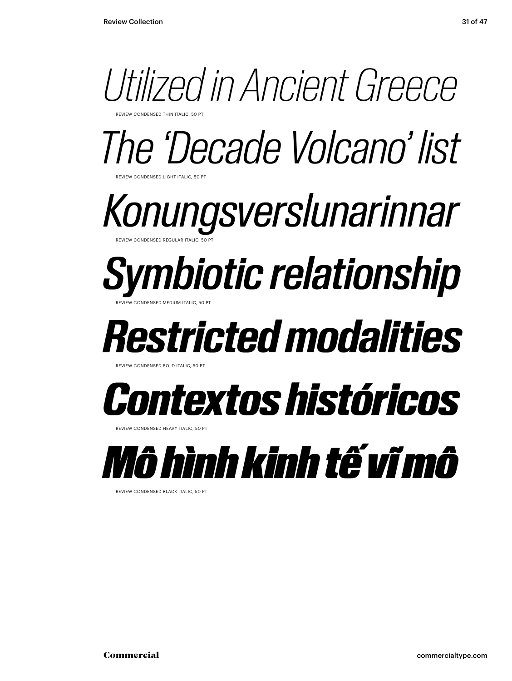

*The 'Decade Volcano' list*

*Konungsverslunarinnar* REVIEW CONDENSED REGULAR ITALIC, 50 PT

### *Symbiotic relationship* REVIEW CONDENSED MEDIUM ITALIC, 50 PT

*Restricted modalities*

REVIEW CONDENSED BOLD ITALIC, 50

**NDENSED LIGHT ITALIC, 50 PT** 



REVIEW CONDENSED HEAVY ITALIC, 50 PT



REVIEW CONDENSED BLACK ITALIC, 50 PT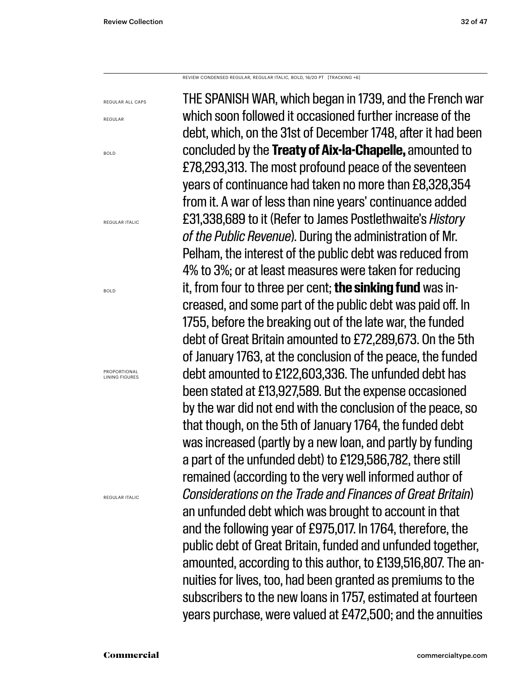REVIEW CONDENSED REGULAR, REGULAR ITALIC, BOLD, 16/20 PT [TRACKING +6]

REGULAR ALL CAPS

REGULAR

BOLD

REGULAR ITALIC

BOLD

PROPORTIONAL LINING FIGURES

REGULAR ITALIC

THE SPANISH WAR, which began in 1739, and the French war which soon followed it occasioned further increase of the debt, which, on the 31st of December 1748, after it had been concluded by the **Treaty of Aix-la-Chapelle,** amounted to £78,293,313. The most profound peace of the seventeen years of continuance had taken no more than £8,328,354 from it. A war of less than nine years' continuance added £31,338,689 to it (Refer to James Postlethwaite's *History of the Public Revenue*). During the administration of Mr. Pelham, the interest of the public debt was reduced from 4% to 3%; or at least measures were taken for reducing it, from four to three per cent; **the sinking fund** was increased, and some part of the public debt was paid off. In 1755, before the breaking out of the late war, the funded debt of Great Britain amounted to £72,289,673. On the 5th of January 1763, at the conclusion of the peace, the funded debt amounted to £122,603,336. The unfunded debt has been stated at £13,927,589. But the expense occasioned by the war did not end with the conclusion of the peace, so that though, on the 5th of January 1764, the funded debt was increased (partly by a new loan, and partly by funding a part of the unfunded debt) to £129,586,782, there still remained (according to the very well informed author of *Considerations on the Trade and Finances of Great Britain*) an unfunded debt which was brought to account in that and the following year of £975,017. In 1764, therefore, the public debt of Great Britain, funded and unfunded together, amounted, according to this author, to £139,516,807. The annuities for lives, too, had been granted as premiums to the subscribers to the new loans in 1757, estimated at fourteen years purchase, were valued at £472,500; and the annuities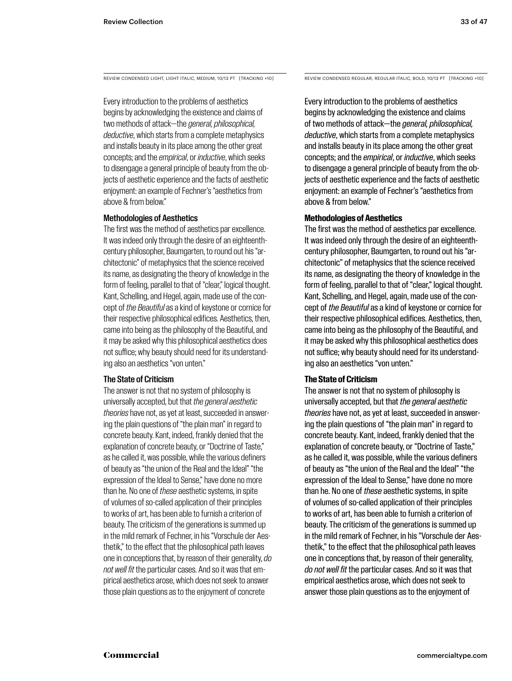Every introduction to the problems of aesthetics begins by acknowledging the existence and claims of two methods of attack—the *general, philosophical, deductive*, which starts from a complete metaphysics and installs beauty in its place among the other great concepts; and the *empirical*, or *inductive*, which seeks to disengage a general principle of beauty from the objects of aesthetic experience and the facts of aesthetic enjoyment: an example of Fechner's "aesthetics from above & from below."

### Methodologies of Aesthetics

The first was the method of aesthetics par excellence. It was indeed only through the desire of an eighteenthcentury philosopher, Baumgarten, to round out his "architectonic" of metaphysics that the science received its name, as designating the theory of knowledge in the form of feeling, parallel to that of "clear," logical thought. Kant, Schelling, and Hegel, again, made use of the concept of *the Beautiful* as a kind of keystone or cornice for their respective philosophical edifices. Aesthetics, then, came into being as the philosophy of the Beautiful, and it may be asked why this philosophical aesthetics does not suffice; why beauty should need for its understanding also an aesthetics "von unten."

### The State of Criticism

The answer is not that no system of philosophy is universally accepted, but that *the general aesthetic theories* have not, as yet at least, succeeded in answering the plain questions of "the plain man" in regard to concrete beauty. Kant, indeed, frankly denied that the explanation of concrete beauty, or "Doctrine of Taste," as he called it, was possible, while the various definers of beauty as "the union of the Real and the Ideal" "the expression of the Ideal to Sense," have done no more than he. No one of *these* aesthetic systems, in spite of volumes of so-called application of their principles to works of art, has been able to furnish a criterion of beauty. The criticism of the generations is summed up in the mild remark of Fechner, in his "Vorschule der Aesthetik," to the effect that the philosophical path leaves one in conceptions that, by reason of their generality, *do not well fit* the particular cases. And so it was that empirical aesthetics arose, which does not seek to answer those plain questions as to the enjoyment of concrete

REVIEW CONDENSED LIGHT, LIGHT ITALIC, MEDIUM, 10/13 PT [TRACKING +10] REVIEW CONDENSED REGULAR, REGULAR ITALIC, BOLD, 10/13 PT [TRACKING +10]

Every introduction to the problems of aesthetics begins by acknowledging the existence and claims of two methods of attack—the *general, philosophical, deductive*, which starts from a complete metaphysics and installs beauty in its place among the other great concepts; and the *empirical*, or *inductive*, which seeks to disengage a general principle of beauty from the objects of aesthetic experience and the facts of aesthetic enjoyment: an example of Fechner's "aesthetics from above & from below."

### **Methodologies of Aesthetics**

The first was the method of aesthetics par excellence. It was indeed only through the desire of an eighteenthcentury philosopher, Baumgarten, to round out his "architectonic" of metaphysics that the science received its name, as designating the theory of knowledge in the form of feeling, parallel to that of "clear," logical thought. Kant, Schelling, and Hegel, again, made use of the concept of *the Beautiful* as a kind of keystone or cornice for their respective philosophical edifices. Aesthetics, then, came into being as the philosophy of the Beautiful, and it may be asked why this philosophical aesthetics does not suffice; why beauty should need for its understanding also an aesthetics "von unten."

### **The State of Criticism**

The answer is not that no system of philosophy is universally accepted, but that *the general aesthetic theories* have not, as yet at least, succeeded in answering the plain questions of "the plain man" in regard to concrete beauty. Kant, indeed, frankly denied that the explanation of concrete beauty, or "Doctrine of Taste," as he called it, was possible, while the various definers of beauty as "the union of the Real and the Ideal" "the expression of the Ideal to Sense," have done no more than he. No one of *these* aesthetic systems, in spite of volumes of so-called application of their principles to works of art, has been able to furnish a criterion of beauty. The criticism of the generations is summed up in the mild remark of Fechner, in his "Vorschule der Aesthetik," to the effect that the philosophical path leaves one in conceptions that, by reason of their generality, *do not well fit* the particular cases. And so it was that empirical aesthetics arose, which does not seek to answer those plain questions as to the enjoyment of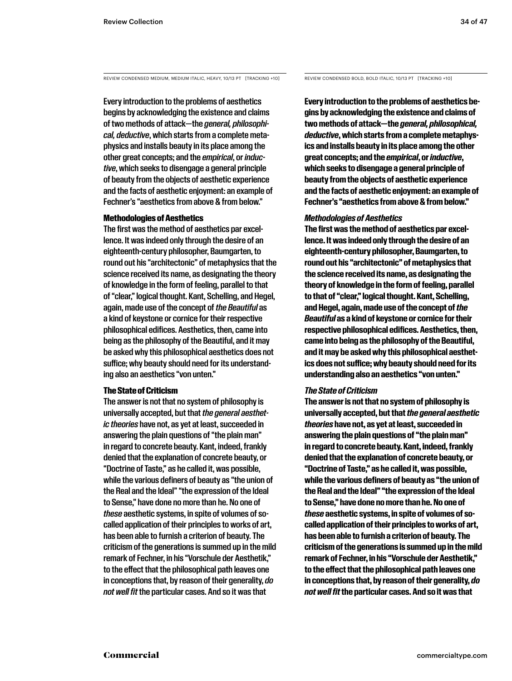#### REVIEW CONDENSED MEDIUM, MEDIUM ITALIC, HEAVY, 10/13 PT [TRACKING +10]

Every introduction to the problems of aesthetics begins by acknowledging the existence and claims of two methods of attack—the *general, philosophical, deductive*, which starts from a complete metaphysics and installs beauty in its place among the other great concepts; and the *empirical*, or *inductive*, which seeks to disengage a general principle of beauty from the objects of aesthetic experience and the facts of aesthetic enjoyment: an example of Fechner's "aesthetics from above & from below."

#### Methodologies of Aesthetics

The first was the method of aesthetics par excellence. It was indeed only through the desire of an eighteenth-century philosopher, Baumgarten, to round out his "architectonic" of metaphysics that the science received its name, as designating the theory of knowledge in the form of feeling, parallel to that of "clear," logical thought. Kant, Schelling, and Hegel, again, made use of the concept of *the Beautiful* as a kind of keystone or cornice for their respective philosophical edifices. Aesthetics, then, came into being as the philosophy of the Beautiful, and it may be asked why this philosophical aesthetics does not suffice; why beauty should need for its understanding also an aesthetics "von unten."

#### The State of Criticism

The answer is not that no system of philosophy is universally accepted, but that *the general aesthetic theories* have not, as yet at least, succeeded in answering the plain questions of "the plain man" in regard to concrete beauty. Kant, indeed, frankly denied that the explanation of concrete beauty, or "Doctrine of Taste," as he called it, was possible, while the various definers of beauty as "the union of the Real and the Ideal" "the expression of the Ideal to Sense," have done no more than he. No one of *these* aesthetic systems, in spite of volumes of socalled application of their principles to works of art, has been able to furnish a criterion of beauty. The criticism of the generations is summed up in the mild remark of Fechner, in his "Vorschule der Aesthetik," to the effect that the philosophical path leaves one in conceptions that, by reason of their generality, *do not well fit* the particular cases. And so it was that

REVIEW CONDENSED BOLD, BOLD ITALIC, 10/13 PT [TRACKING +10]

**Every introduction to the problems of aesthetics begins by acknowledging the existence and claims of two methods of attack—the** *general, philosophical, deductive***, which starts from a complete metaphysics and installs beauty in its place among the other great concepts; and the** *empirical***, or** *inductive***, which seeks to disengage a general principle of beauty from the objects of aesthetic experience and the facts of aesthetic enjoyment: an example of Fechner's "aesthetics from above & from below."** 

#### *Methodologies of Aesthetics*

**The first was the method of aesthetics par excellence. It was indeed only through the desire of an eighteenth-century philosopher, Baumgarten, to round out his "architectonic" of metaphysics that the science received its name, as designating the theory of knowledge in the form of feeling, parallel to that of "clear," logical thought. Kant, Schelling, and Hegel, again, made use of the concept of** *the Beautiful* **as a kind of keystone or cornice for their respective philosophical edifices. Aesthetics, then, came into being as the philosophy of the Beautiful, and it may be asked why this philosophical aesthetics does not suffice; why beauty should need for its understanding also an aesthetics "von unten."** 

#### *The State of Criticism*

**The answer is not that no system of philosophy is universally accepted, but that** *the general aesthetic theories* **have not, as yet at least, succeeded in answering the plain questions of "the plain man" in regard to concrete beauty. Kant, indeed, frankly denied that the explanation of concrete beauty, or "Doctrine of Taste," as he called it, was possible, while the various definers of beauty as "the union of the Real and the Ideal" "the expression of the Ideal to Sense," have done no more than he. No one of**  *these* **aesthetic systems, in spite of volumes of socalled application of their principles to works of art, has been able to furnish a criterion of beauty. The criticism of the generations is summed up in the mild remark of Fechner, in his "Vorschule der Aesthetik," to the effect that the philosophical path leaves one in conceptions that, by reason of their generality,** *do not well fit* **the particular cases. And so it was that**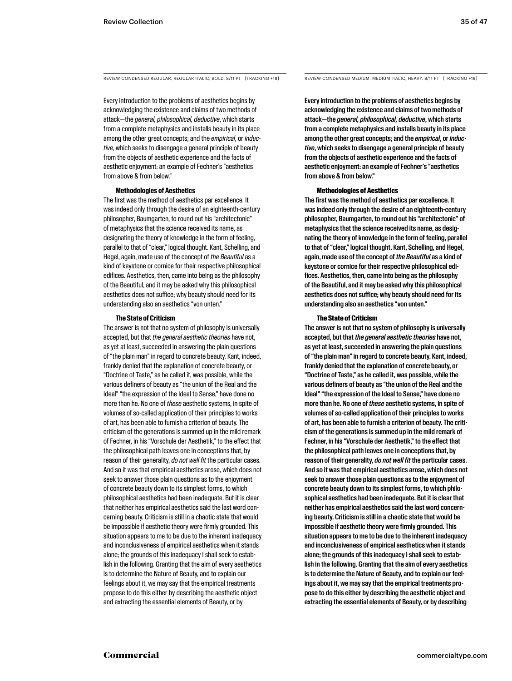REVIEW CONDENSED REGULAR, REGULAR ITALIC, BOLD, 8/11 PT [TRACKING +18] REVIEW CONDENSED MEDIUM, MEDIUM ITALIC, HEAVY, 8/11 PT [TRACKING +18]

Every introduction to the problems of aesthetics begins by acknowledging the existence and claims of two methods of attack—the *general, philosophical, deductive*, which starts from a complete metaphysics and installs beauty in its place among the other great concepts; and the *empirical*, or *inductive*, which seeks to disengage a general principle of beauty from the objects of aesthetic experience and the facts of aesthetic enjoyment: an example of Fechner's "aesthetics from above & from below."

#### **Methodologies of Aesthetics**

The first was the method of aesthetics par excellence. It was indeed only through the desire of an eighteenth-century philosopher, Baumgarten, to round out his "architectonic" of metaphysics that the science received its name, as designating the theory of knowledge in the form of feeling, parallel to that of "clear," logical thought. Kant, Schelling, and Hegel, again, made use of the concept of *the Beautiful* as a kind of keystone or cornice for their respective philosophical edifices. Aesthetics, then, came into being as the philosophy of the Beautiful, and it may be asked why this philosophical aesthetics does not suffice; why beauty should need for its understanding also an aesthetics "von unten."

#### **The State of Criticism**

The answer is not that no system of philosophy is universally accepted, but that *the general aesthetic theories* have not, as yet at least, succeeded in answering the plain questions of "the plain man" in regard to concrete beauty. Kant, indeed, frankly denied that the explanation of concrete beauty, or "Doctrine of Taste," as he called it, was possible, while the various definers of beauty as "the union of the Real and the Ideal" "the expression of the Ideal to Sense," have done no more than he. No one of *these* aesthetic systems, in spite of volumes of so-called application of their principles to works of art, has been able to furnish a criterion of beauty. The criticism of the generations is summed up in the mild remark of Fechner, in his "Vorschule der Aesthetik," to the effect that the philosophical path leaves one in conceptions that, by reason of their generality, *do not well fit* the particular cases. And so it was that empirical aesthetics arose, which does not seek to answer those plain questions as to the enjoyment of concrete beauty down to its simplest forms, to which philosophical aesthetics had been inadequate. But it is clear that neither has empirical aesthetics said the last word concerning beauty. Criticism is still in a chaotic state that would be impossible if aesthetic theory were firmly grounded. This situation appears to me to be due to the inherent inadequacy and inconclusiveness of empirical aesthetics when it stands alone; the grounds of this inadequacy I shall seek to establish in the following. Granting that the aim of every aesthetics is to determine the Nature of Beauty, and to explain our feelings about it, we may say that the empirical treatments propose to do this either by describing the aesthetic object and extracting the essential elements of Beauty, or by

Every introduction to the problems of aesthetics begins by acknowledging the existence and claims of two methods of attack—the *general, philosophical, deductive*, which starts from a complete metaphysics and installs beauty in its place among the other great concepts; and the *empirical*, or *inductive*, which seeks to disengage a general principle of beauty from the objects of aesthetic experience and the facts of aesthetic enjoyment: an example of Fechner's "aesthetics from above & from below."

#### Methodologies of Aesthetics

The first was the method of aesthetics par excellence. It was indeed only through the desire of an eighteenth-century philosopher, Baumgarten, to round out his "architectonic" of metaphysics that the science received its name, as designating the theory of knowledge in the form of feeling, parallel to that of "clear," logical thought. Kant, Schelling, and Hegel, again, made use of the concept of *the Beautiful* as a kind of keystone or cornice for their respective philosophical edifices. Aesthetics, then, came into being as the philosophy of the Beautiful, and it may be asked why this philosophical aesthetics does not suffice; why beauty should need for its understanding also an aesthetics "von unten."

#### The State of Criticism

The answer is not that no system of philosophy is universally accepted, but that *the general aesthetic theories* have not, as yet at least, succeeded in answering the plain questions of "the plain man" in regard to concrete beauty. Kant, indeed, frankly denied that the explanation of concrete beauty, or "Doctrine of Taste," as he called it, was possible, while the various definers of beauty as "the union of the Real and the Ideal" "the expression of the Ideal to Sense," have done no more than he. No one of *these* aesthetic systems, in spite of volumes of so-called application of their principles to works of art, has been able to furnish a criterion of beauty. The criticism of the generations is summed up in the mild remark of Fechner, in his "Vorschule der Aesthetik," to the effect that the philosophical path leaves one in conceptions that, by reason of their generality, *do not well fit* the particular cases. And so it was that empirical aesthetics arose, which does not seek to answer those plain questions as to the enjoyment of concrete beauty down to its simplest forms, to which philosophical aesthetics had been inadequate. But it is clear that neither has empirical aesthetics said the last word concerning beauty. Criticism is still in a chaotic state that would be impossible if aesthetic theory were firmly grounded. This situation appears to me to be due to the inherent inadequacy and inconclusiveness of empirical aesthetics when it stands alone; the grounds of this inadequacy I shall seek to establish in the following. Granting that the aim of every aesthetics is to determine the Nature of Beauty, and to explain our feelings about it, we may say that the empirical treatments propose to do this either by describing the aesthetic object and extracting the essential elements of Beauty, or by describing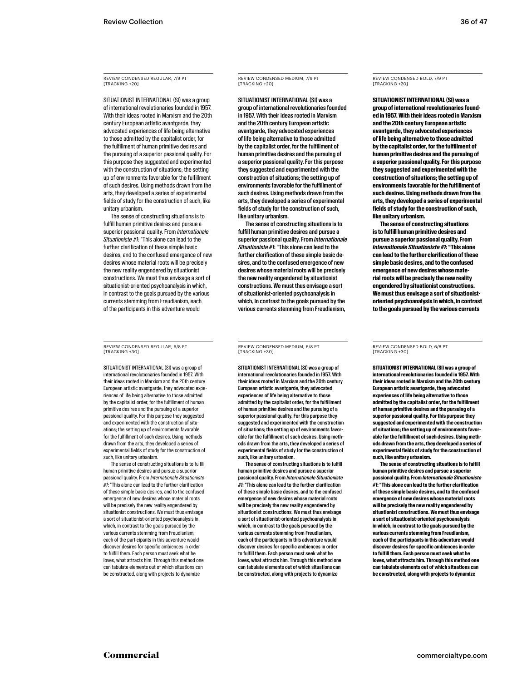REVIEW CONDENSED REGULAR, 7/9 PT **ITRACKING +20]** 

SITUATIONIST INTERNATIONAL (SI) was a group of international revolutionaries founded in 1957. With their ideas rooted in Marxism and the 20th century European artistic avantgarde, they advocated experiences of life being alternative to those admitted by the capitalist order, for the fulfillment of human primitive desires and the pursuing of a superior passional quality. For this purpose they suggested and experimented with the construction of situations; the setting up of environments favorable for the fulfillment of such desires. Using methods drawn from the arts, they developed a series of experimental fields of study for the construction of such, like unitary urbanism.

The sense of constructing situations is to fulfill human primitive desires and pursue a superior passional quality. From *Internationale Situationiste #1*: "This alone can lead to the further clarification of these simple basic desires, and to the confused emergence of new desires whose material roots will be precisely the new reality engendered by situationist constructions. We must thus envisage a sort of situationist-oriented psychoanalysis in which, in contrast to the goals pursued by the various currents stemming from Freudianism, each of the participants in this adventure would

REVIEW CONDENSED REGULAR, 6/8 PT [TRACKING +30]

SITUATIONIST INTERNATIONAL (SI) was a group of international revolutionaries founded in 1957. With their ideas rooted in Marxism and the 20th century European artistic avantgarde, they advocated experiences of life being alternative to those admitted by the capitalist order, for the fulfillment of human primitive desires and the pursuing of a superior passional quality. For this purpose they suggested and experimented with the construction of situations; the setting up of environments favorable for the fulfillment of such desires. Using methods drawn from the arts, they developed a series of experimental fields of study for the construction of such, like unitary urbanism.

The sense of constructing situations is to fulfill human primitive desires and pursue a superior passional quality. From *Internationale Situationiste #1*: "This alone can lead to the further clarification of these simple basic desires, and to the confused emergence of new desires whose material roots will be precisely the new reality engendered by situationist constructions. We must thus envisage a sort of situationist-oriented psychoanalysis in which, in contrast to the goals pursued by the various currents stemming from Freudianism, each of the participants in this adventure would discover desires for specific ambiences in order to fulfill them. Each person must seek what he loves, what attracts him. Through this method one can tabulate elements out of which situations can be constructed, along with projects to dynamize

REVIEW CONDENSED MEDIUM, 7/9 PT **ITRACKING +20]** 

SITUATIONIST INTERNATIONAL (SI) was a group of international revolutionaries founded in 1957. With their ideas rooted in Marxism and the 20th century European artistic avantgarde, they advocated experiences of life being alternative to those admitted by the capitalist order, for the fulfillment of human primitive desires and the pursuing of a superior passional quality. For this purpose they suggested and experimented with the construction of situations; the setting up of environments favorable for the fulfillment of such desires. Using methods drawn from the arts, they developed a series of experimental fields of study for the construction of such, like unitary urbanism.

The sense of constructing situations is to fulfill human primitive desires and pursue a superior passional quality. From *Internationale Situationiste #1*: "This alone can lead to the further clarification of these simple basic desires, and to the confused emergence of new desires whose material roots will be precisely the new reality engendered by situationist constructions. We must thus envisage a sort of situationist-oriented psychoanalysis in which, in contrast to the goals pursued by the various currents stemming from Freudianism,

REVIEW CONDENSED MEDIUM, 6/8 PT [TRACKING +30]

SITUATIONIST INTERNATIONAL (SI) was a group of international revolutionaries founded in 1957. With their ideas rooted in Marxism and the 20th century European artistic avantgarde, they advocated experiences of life being alternative to those admitted by the capitalist order, for the fulfillment of human primitive desires and the pursuing of a superior passional quality. For this purpose they suggested and experimented with the construction of situations; the setting up of environments favorable for the fulfillment of such desires. Using methods drawn from the arts, they developed a series of experimental fields of study for the construction of such, like unitary urbanism.

The sense of constructing situations is to fulfill human primitive desires and pursue a superior passional quality. From *Internationale Situationiste #1*: "This alone can lead to the further clarification of these simple basic desires, and to the confused emergence of new desires whose material roots will be precisely the new reality engendered by situationist constructions. We must thus envisage a sort of situationist-oriented psychoanalysis in which, in contrast to the goals pursued by the various currents stemming from Freudianism, each of the participants in this adventure would discover desires for specific ambiences in order to fulfill them. Each person must seek what he loves, what attracts him. Through this method one can tabulate elements out of which situations can be constructed, along with projects to dynamize

REVIEW CONDENSED BOLD, 7/9 PT [TRACKING +20]

**SITUATIONIST INTERNATIONAL (SI) was a group of international revolutionaries founded in 1957. With their ideas rooted in Marxism and the 20th century European artistic avantgarde, they advocated experiences of life being alternative to those admitted by the capitalist order, for the fulfillment of human primitive desires and the pursuing of a superior passional quality. For this purpose they suggested and experimented with the construction of situations; the setting up of environments favorable for the fulfillment of such desires. Using methods drawn from the arts, they developed a series of experimental fields of study for the construction of such, like unitary urbanism.**

**The sense of constructing situations is to fulfill human primitive desires and pursue a superior passional quality. From**  *Internationale Situationiste #1***: "This alone can lead to the further clarification of these simple basic desires, and to the confused emergence of new desires whose material roots will be precisely the new reality engendered by situationist constructions. We must thus envisage a sort of situationistoriented psychoanalysis in which, in contrast to the goals pursued by the various currents** 

REVIEW CONDENSED BOLD, 6/8 PT [TRACKING +30]

**SITUATIONIST INTERNATIONAL (SI) was a group of international revolutionaries founded in 1957. With their ideas rooted in Marxism and the 20th century European artistic avantgarde, they advocated experiences of life being alternative to those admitted by the capitalist order, for the fulfillment of human primitive desires and the pursuing of a superior passional quality. For this purpose they suggested and experimented with the construction of situations; the setting up of environments favorable for the fulfillment of such desires. Using methods drawn from the arts, they developed a series of experimental fields of study for the construction of such, like unitary urbanism.**

**The sense of constructing situations is to fulfill human primitive desires and pursue a superior passional quality. From** *Internationale Situationiste #1***: "This alone can lead to the further clarification of these simple basic desires, and to the confused emergence of new desires whose material roots will be precisely the new reality engendered by situationist constructions. We must thus envisage a sort of situationist-oriented psychoanalysis in which, in contrast to the goals pursued by the various currents stemming from Freudianism, each of the participants in this adventure would discover desires for specific ambiences in order to fulfill them. Each person must seek what he loves, what attracts him. Through this method one can tabulate elements out of which situations can be constructed, along with projects to dynamize**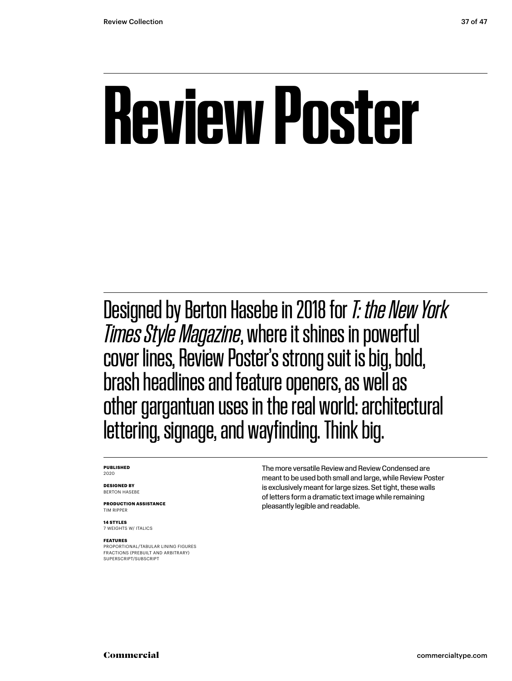# **Review Poster**

Designed by Berton Hasebe in 2018 for *T: the New York Times Style Magazine*, where it shines in powerful cover lines, Review Poster's strong suit is big, bold, brash headlines and feature openers, as well as other gargantuan uses in the real world: architectural lettering, signage, and wayfinding. Think big.

#### **PUBLISHED** 2020

**DESIGNED BY** BERTON HASEBE

**PRODUCTION ASSISTANCE** TIM RIPPER

**14 STYLES** 7 WEIGHTS W/ ITALICS

#### **FEATURES**

PROPORTIONAL/TABULAR LINING FIGURES FRACTIONS (PREBUILT AND ARBITRARY) SUPERSCRIPT/SUBSCRIPT

The more versatile Review and Review Condensed are meant to be used both small and large, while Review Poster is exclusively meant for large sizes. Set tight, these walls of letters form a dramatic text image while remaining pleasantly legible and readable.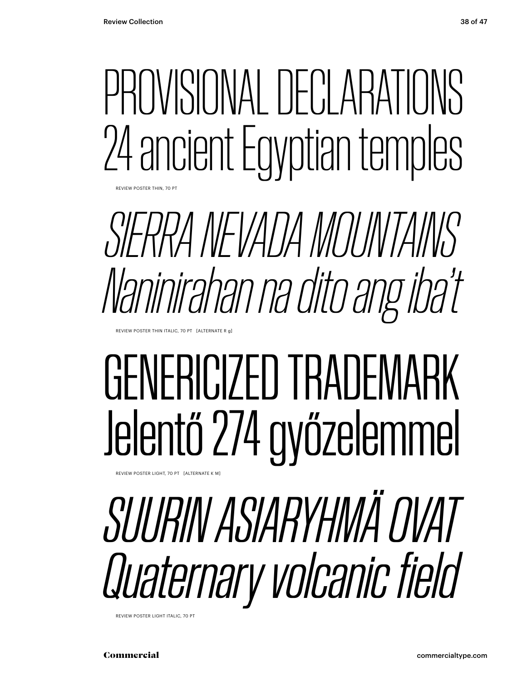# PROVISIONAL DECLARATIONS 24 ancient Egyptian temples

REVIEW POSTER THIN, 70 P

*SIERRA NEVADA MOUNTAINS Naninirahan na dito ang iba't*

REVIEW POSTER THIN ITALIC, 70 PT [ALTERNATE R g]

# GENERICIZED TRADEMARK Jelentő 274 győzelemmel

REVIEW POSTER LIGHT, 70 PT [ALTERNATE K M]

# *SUURIN ASIARYHMÄ OVAT Quaternary volcanic field*

REVIEW POSTER LIGHT ITALIC, 70 PT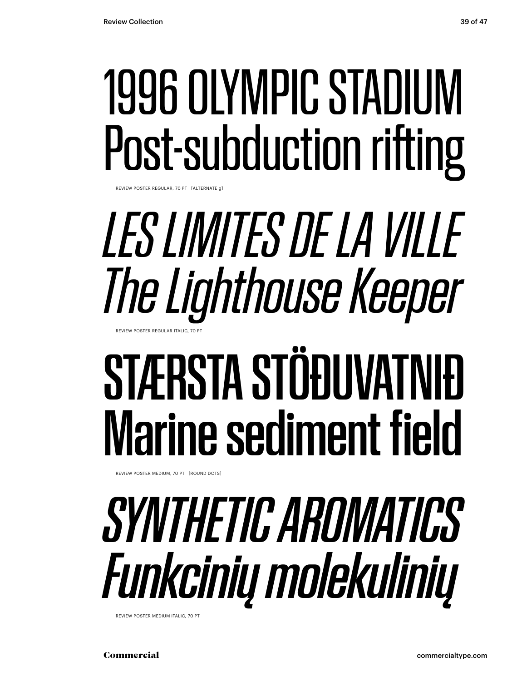## 1996 OLYMPIC STADIUM Post-subduction rifting

REVIEW POSTER REGULAR, 70 PT [ALTERNATE g]

## *LES LIMITES DE LA VILLE The Lighthouse Keeper* REVIEW POSTER REGULAR ITALIC, 70 PT

# STÆRSTA STÖÐUVATNIÐ Marine sediment field

REVIEW POSTER MEDIUM, 70 PT [ROUND DOTS]

# *SYNTHETIC AROMATICS Funkcinių molekulinių*

REVIEW POSTER MEDIUM ITALIC, 70 PT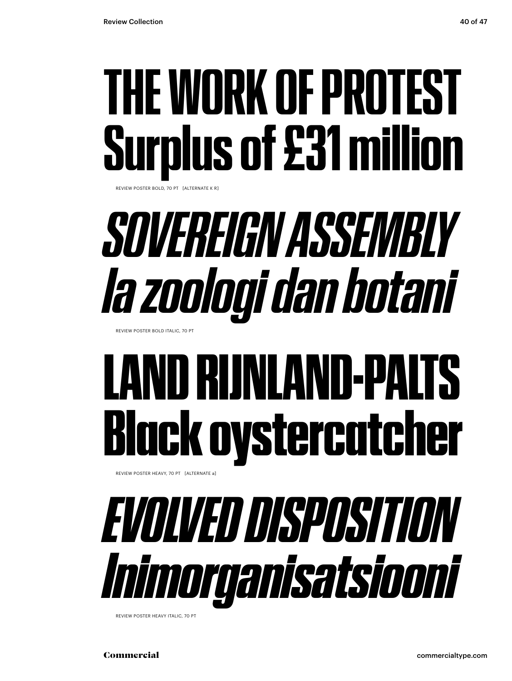## **THE WORK OF PROTEST Surplus of £31 million**

REVIEW POSTER BOLD, 70 PT [ALTERNATE K R]

# *SOVEREIGN ASSEMBLY Ia zoologi dan botani*

REVIEW POSTER BOLD ITALIC, 70 PT

# LAND RIJNLAND-PALTS Black oystercatcher

REVIEW POSTER HEAVY, 70 PT [ALTERNATE a]



REVIEW POSTER HEAVY ITALIC, 70 PT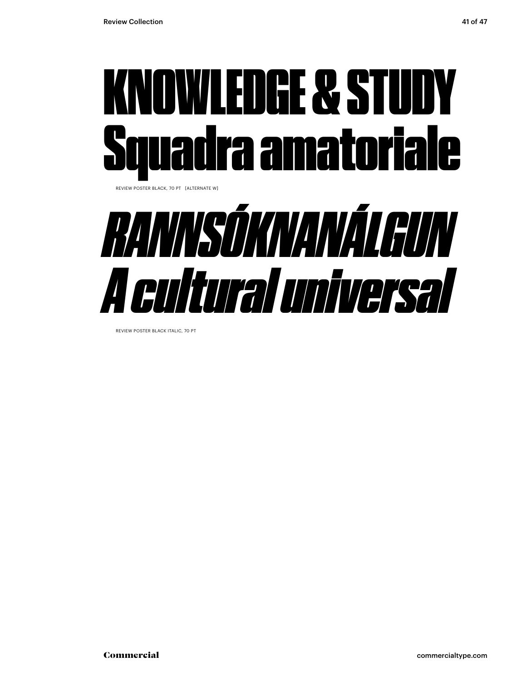



REVIEW POSTER BLACK ITALIC, 70 PT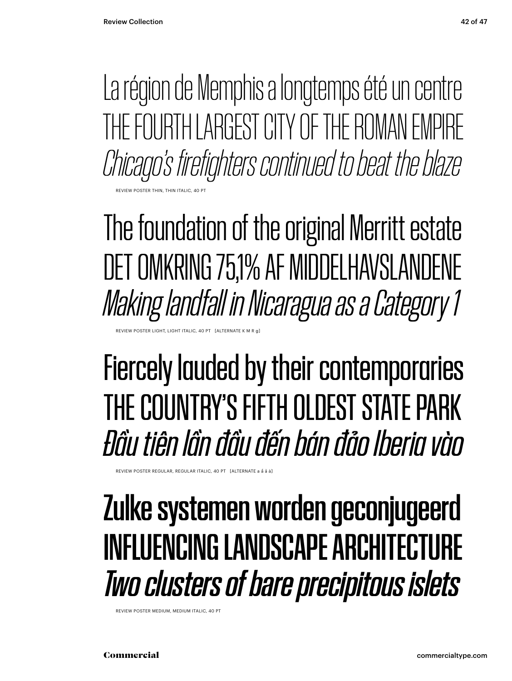La région de Memphis a longtemps été un centre THE FOURTH LARGEST CITY OF THE ROMAN EMPIRE *Chicago's firefighters continued to beat the blaze*

**POSTER THIN, THIN ITALIC** 

The foundation of the original Merritt estate DET OMKRING 75,1% AF MIDDELHAVSLANDENE *Making landfall in Nicaragua as a Category 1*

EVIEW POSTER LIGHT, LIGHT ITALIC, 40 PT [ALTERNATE K M

### Fiercely lauded by their contemporaries THE COUNTRY'S FIFTH OLDEST STATE PARK *Đầu tiên lần đầu đến bán đảo Iberia vào*

REVIEW POSTER REGULAR, REGULAR ITALIC, 40 PT [ALTERNATE a ẩ å à]

### Zulke systemen worden geconjugeerd INFLUENCING LANDSCAPE ARCHITECTURE *Two clusters of bare precipitous islets*

REVIEW POSTER MEDIUM, MEDIUM ITALIC, 40 PT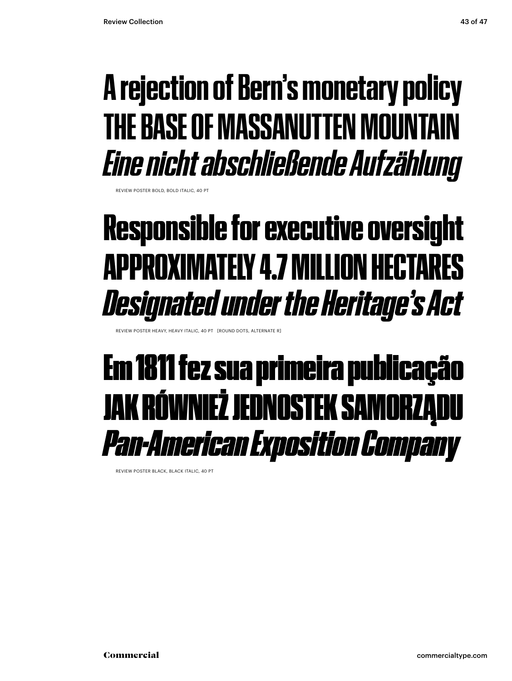### **A rejection of Bern's monetary policy THE BASE OF MASSANUTTEN MOUNTAIN** *Eine nicht abschließende Aufzählung*

REVIEW POSTER BOLD, BOLD ITALIC, 40 PT

### Responsible for executive oversight APPROXIMATELY 4.7 MILLION HECTARES *Designated under the Heritage's Act*

REVIEW POSTER HEAVY, HEAVY ITALIC, 40 PT [ROUND DOTS, ALTERNATE R]

### Em 1811 fez sua primeira publicação JAK RÓWNIEŻ JEDNOSTEK SAMORZĄDU *Pan-American Exposition Company*

REVIEW POSTER BLACK, BLACK ITALIC, 40 PT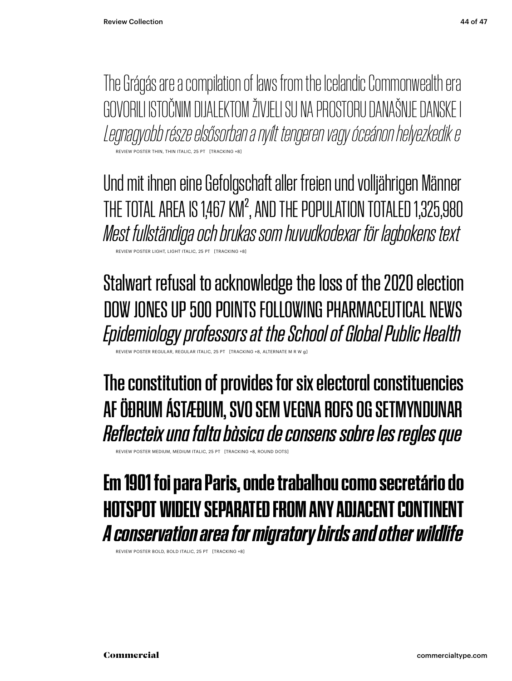The Grágás are a compilation of laws from the Icelandic Commonwealth era GOVORILI ISTOČNIM DIJALEKTOM ŽIVJELI SU NA PROSTORU DANAŠNJE DANSKE I *Legnagyobb része elsősorban a nyílt tengeren vagy óceánon helyezkedik e* REVIEW POSTER THIN, THIN ITALIC, 25 PT

Und mit ihnen eine Gefolgschaft aller freien und volljährigen Männer THE TOTAL AREA IS 1,467 KM<sup>2</sup>, AND THE POPULATION TOTALED 1,325,980 *Mest fullständiga och brukas som huvudkodexar för lagbokens text* REVIEW POSTER LIGHT, LIGHT ITALIC, 25 PT [TRACKING +8]

Stalwart refusal to acknowledge the loss of the 2020 election DOW JONES UP 500 POINTS FOLLOWING PHARMACEUTICAL NEWS *Epidemiology professors at the School of Global Public Health*

**REGULAR REGULAR ITA** 

The constitution of provides for six electoral constituencies AF ÖÐRUM ÁSTÆÐUM, SVO SEM VEGNA ROFS OG SETMYNDUNAR *Reflecteix una falta bàsica de consens sobre les regles que*

REVIEW POSTER MEDIUM, MEDIUM ITALIC, 25 PT [TRACKING +8, ROUND DOTS]

### **Em 1901 foi para Paris, onde trabalhou como secretário do HOTSPOT WIDELY SEPARATED FROM ANY ADJACENT CONT** *A conservation area for migratory birds and other wildlife*

REVIEW POSTER BOLD, BOLD ITALIC, 25 PT [TRACKING +8]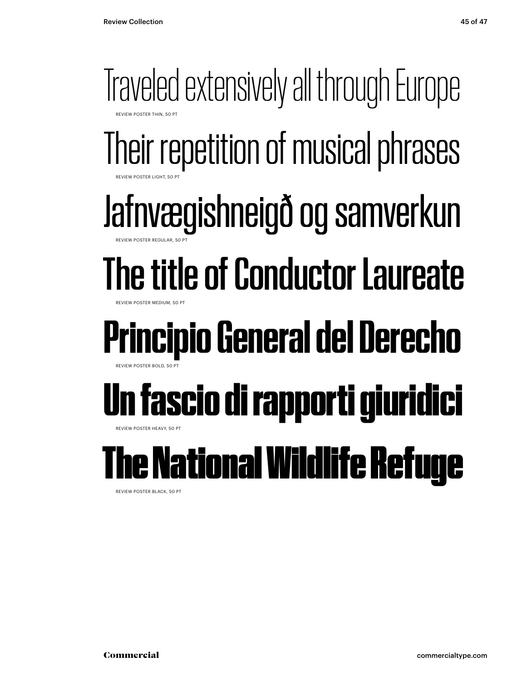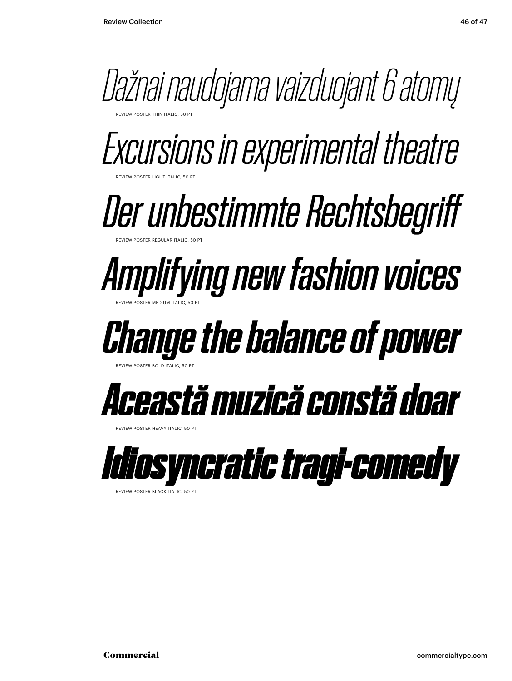

*Excursions in experimental theatre*

*Der unbestimmte Rechtsbegriff* REVIEW POSTER REGULAR ITALIC, 50 PT

*Amplifying new fashion voices* REVIEW POSTER MEDIUM ITALIC, 50 PT

## *Change the balance of power*

REVIEW POSTER BOLD ITALIC, 50 PT

REVIEW POSTER LIGHT ITALIC, 50 PT



**REVIEW POSTER HEAVY ITALIC, 50 PT** 



REVIEW POSTER BLACK ITALIC, 50 PT